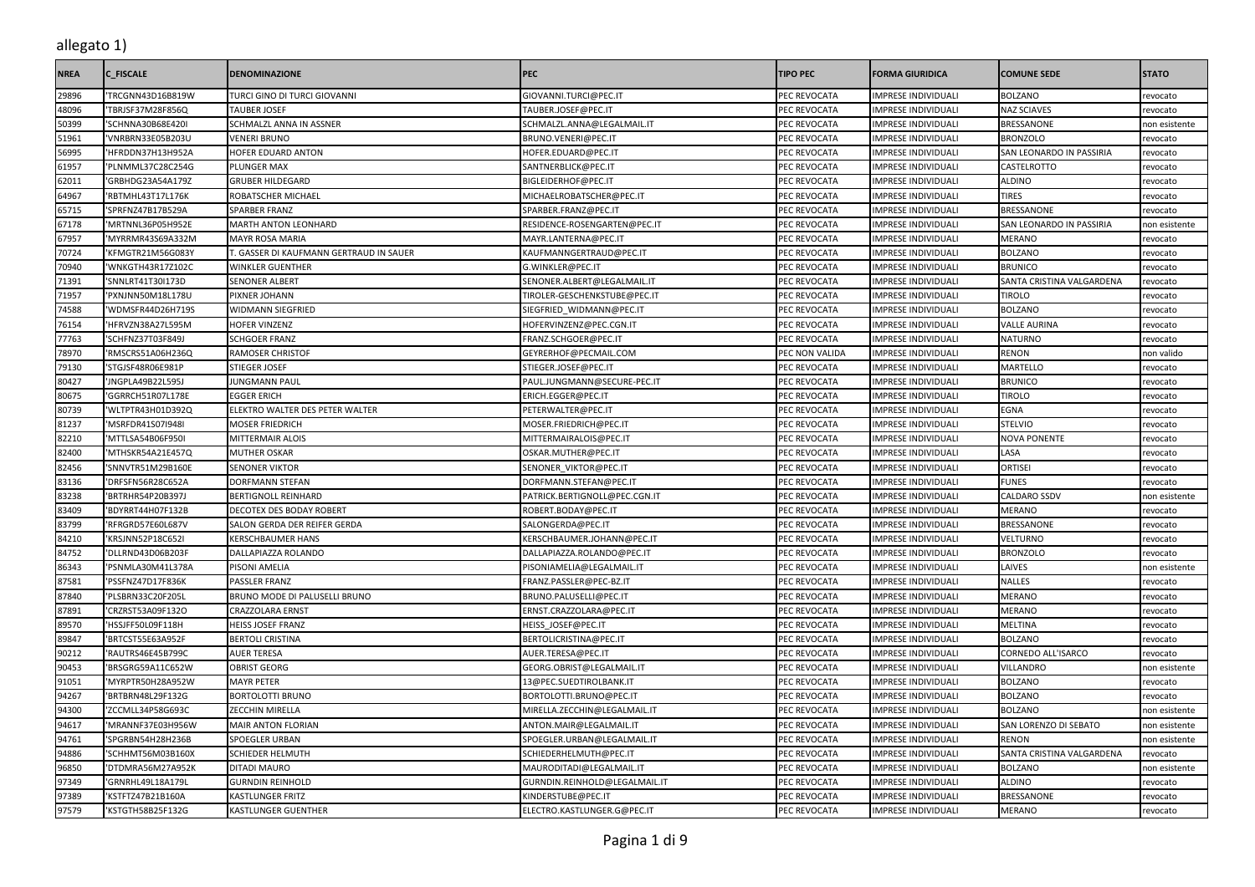| <b>NREA</b> | <b>C_FISCALE</b>  | <b>DENOMINAZIONE</b>                        | PEC                           | <b>TIPO PEC</b> | <b>FORMA GIURIDICA</b>                            | <b>COMUNE SEDE</b>        | <b>STATO</b>                   |
|-------------|-------------------|---------------------------------------------|-------------------------------|-----------------|---------------------------------------------------|---------------------------|--------------------------------|
| 29896       | TRCGNN43D16B819W  | TURCI GINO DI TURCI GIOVANNI                | GIOVANNI.TURCI@PEC.IT         | PEC REVOCATA    | <b>IMPRESE INDIVIDUALI</b>                        | <b>BOLZANO</b>            | evocato                        |
| 48096       | TBRJSF37M28F856Q  | <b>TAUBER JOSEF</b>                         | TAUBER.JOSEF@PEC.IT           | PEC REVOCATA    | IMPRESE INDIVIDUALI                               | <b>NAZ SCIAVES</b>        | evocato                        |
| 50399       | 'SCHNNA30B68E420I | SCHMALZL ANNA IN ASSNER                     | SCHMALZL.ANNA@LEGALMAIL.IT    | PEC REVOCATA    | IMPRESE INDIVIDUALI                               | BRESSANONE                | non esistente                  |
| 1961        | 'VNRBRN33E05B203U | VENERI BRUNO                                | <b>BRUNO.VENERI@PEC.IT</b>    | PEC REVOCATA    | IMPRESE INDIVIDUALI                               | <b>BRONZOLO</b>           | evocato                        |
| 6995        | 'HFRDDN37H13H952A | HOFER EDUARD ANTON                          | HOFER.EDUARD@PEC.IT           | PEC REVOCATA    | IMPRESE INDIVIDUALI                               | SAN LEONARDO IN PASSIRIA  | revocato                       |
| 61957       | PLNMML37C28C254G  | PLUNGER MAX                                 | SANTNERBLICK@PEC.IT           | PEC REVOCATA    | IMPRESE INDIVIDUALI                               | CASTELROTTO               | evocato                        |
| 62011       | 'GRBHDG23A54A179Z | <b>GRUBER HILDEGARD</b>                     | BIGLEIDERHOF@PEC.IT           | PEC REVOCATA    | IMPRESE INDIVIDUALI                               | <b>ALDINO</b>             | evocato                        |
| 64967       | 'RBTMHL43T17L176K | ROBATSCHER MICHAEL                          | MICHAELROBATSCHER@PEC.IT      | PEC REVOCATA    | IMPRESE INDIVIDUALI                               | <b>TIRES</b>              | revocato                       |
| 65715       | SPRFNZ47B17B529A  | <b>SPARBER FRANZ</b>                        | SPARBER.FRANZ@PEC.IT          | PEC REVOCATA    | IMPRESE INDIVIDUALI                               | BRESSANONE                | revocato                       |
| 57178       | 'MRTNNL36P05H952E | MARTH ANTON LEONHARD                        | RESIDENCE-ROSENGARTEN@PEC.IT  | PEC REVOCATA    | IMPRESE INDIVIDUALI                               | SAN LEONARDO IN PASSIRIA  | non esistente                  |
| 67957       | MYRRMR43S69A332M  | <b>MAYR ROSA MARIA</b>                      | MAYR.LANTERNA@PEC.IT          | PEC REVOCATA    | <b>IMPRESE INDIVIDUALI</b>                        | <b>MERANO</b>             | evocato                        |
| 70724       | KFMGTR21M56G083\  | . GASSER DI KAUFMANN GERTRAUD IN SAUER      | KAUFMANNGERTRAUD@PEC.IT       | PEC REVOCATA    | IMPRESE INDIVIDUALI                               | <b>BOLZANO</b>            | evocato                        |
| 70940       | 'WNKGTH43R17Z102C | <b>WINKLER GUENTHER</b>                     | G.WINKLER@PEC.IT              | PEC REVOCATA    | IMPRESE INDIVIDUALI                               | <b>BRUNICO</b>            | revocato                       |
| 71391       | 'SNNLRT41T30I173D | <b>SENONER ALBERT</b>                       | SENONER.ALBERT@LEGALMAIL.IT   | PEC REVOCATA    | IMPRESE INDIVIDUALI                               | SANTA CRISTINA VALGARDENA | revocato                       |
| 71957       | 'PXNJNN50M18L178U | PIXNER JOHANN                               | TIROLER-GESCHENKSTUBE@PEC.IT  | PEC REVOCATA    | IMPRESE INDIVIDUALI                               | <b>TIROLO</b>             | evocato                        |
| 4588        | 'WDMSFR44D26H719S | WIDMANN SIEGFRIED                           | SIEGFRIED WIDMANN@PEC.IT      | PEC REVOCATA    | IMPRESE INDIVIDUALI                               | <b>BOLZANO</b>            | evocato                        |
| 76154       | HFRVZN38A27L595M  | <b>HOFER VINZENZ</b>                        | HOFERVINZENZ@PEC.CGN.IT       | PEC REVOCATA    | IMPRESE INDIVIDUALI                               | <b>VALLE AURINA</b>       | evocato                        |
| 77763       | 'SCHFNZ37T03F849J | <b>SCHGOER FRANZ</b>                        | FRANZ.SCHGOER@PEC.IT          | PEC REVOCATA    | IMPRESE INDIVIDUALI                               | <b>NATURNO</b>            | evocato                        |
| 78970       | 'RMSCRS51A06H236Q | <b>RAMOSER CHRISTOF</b>                     | GEYRERHOF@PECMAIL.COM         | PEC NON VALIDA  | IMPRESE INDIVIDUALI                               | RENON                     | non valido                     |
| 79130       | 'STGJSF48R06E981P | <b>STIEGER JOSEF</b>                        | STIEGER.JOSEF@PEC.IT          | PEC REVOCATA    | IMPRESE INDIVIDUALI                               | MARTELLO                  | evocato                        |
| 80427       | JNGPLA49B22L595J  | <b>JUNGMANN PAUL</b>                        | PAUL.JUNGMANN@SECURE-PEC.IT   | PEC REVOCATA    | IMPRESE INDIVIDUALI                               | <b>BRUNICO</b>            | evocato                        |
| 80675       | GGRRCH51R07L178E  | <b>EGGER ERICH</b>                          | ERICH.EGGER@PEC.IT            | PEC REVOCATA    | IMPRESE INDIVIDUALI                               | <b>TIROLO</b>             | evocato                        |
| 80739       | 'WLTPTR43H01D392Q | ELEKTRO WALTER DES PETER WALTER             | PETERWALTER@PEC.IT            | PEC REVOCATA    | IMPRESE INDIVIDUAL                                | EGNA                      | evocato                        |
| 81237       | 'MSRFDR41S07I948I | <b>MOSER FRIEDRICH</b>                      | MOSER.FRIEDRICH@PEC.IT        | PEC REVOCATA    | <b>IMPRESE INDIVIDUALI</b>                        | <b>STELVIO</b>            | revocato                       |
| 32210       | 'MTTLSA54B06F950I | MITTERMAIR ALOIS                            | MITTERMAIRALOIS@PEC.IT        | PEC REVOCATA    | IMPRESE INDIVIDUALI                               | <b>NOVA PONENTE</b>       | evocato                        |
| 82400       | MTHSKR54A21E457Q  | <b>MUTHER OSKAR</b>                         | OSKAR.MUTHER@PEC.IT           | PEC REVOCATA    | IMPRESE INDIVIDUALI                               | LASA                      | evocato                        |
| 82456       | SNNVTR51M29B160E  | <b>SENONER VIKTOR</b>                       | SENONER_VIKTOR@PEC.IT         | PEC REVOCATA    | IMPRESE INDIVIDUALI                               | <b>ORTISEI</b>            | evocato                        |
| 33136       | 'DRFSFN56R28C652A | DORFMANN STEFAN                             | DORFMANN.STEFAN@PEC.IT        | PEC REVOCATA    | IMPRESE INDIVIDUALI                               | <b>FUNES</b>              | evocato                        |
| 83238       | 'BRTRHR54P20B397J | BERTIGNOLL REINHARD                         | PATRICK.BERTIGNOLL@PEC.CGN.IT | PEC REVOCATA    | IMPRESE INDIVIDUALI                               | CALDARO SSDV              | non esistente                  |
| 3409        | BDYRRT44H07F132B  | DECOTEX DES BODAY ROBERT                    | ROBERT.BODAY@PEC.IT           | PEC REVOCATA    | <b>IMPRESE INDIVIDUALI</b>                        | <b>MERANO</b>             | evocato                        |
| 33799       | 'RFRGRD57E60L687V | SALON GERDA DER REIFER GERDA                | SALONGERDA@PEC.IT             | PEC REVOCATA    | IMPRESE INDIVIDUALI                               | BRESSANONE                | revocato                       |
| 84210       | KRSJNN52P18C652I  | KERSCHBAUMER HANS                           | KERSCHBAUMER.JOHANN@PEC.IT    | PEC REVOCATA    | IMPRESE INDIVIDUALI                               | VELTURNO                  | evocato                        |
| 84752       | 'DLLRND43D06B203F | DALLAPIAZZA ROLANDO                         | DALLAPIAZZA.ROLANDO@PEC.IT    | PEC REVOCATA    | IMPRESE INDIVIDUALI                               | <b>BRONZOLO</b>           | evocato                        |
| 86343       | 'PSNMLA30M41L378A | PISONI AMELIA                               | PISONIAMELIA@LEGALMAIL.IT     | PEC REVOCATA    | IMPRESE INDIVIDUALI                               | LAIVES                    | non esistente                  |
| 37581       | PSSFNZ47D17F836K  | PASSLER FRANZ                               | FRANZ.PASSLER@PEC-BZ.IT       | PEC REVOCATA    | IMPRESE INDIVIDUALI                               | <b>NALLES</b>             | evocato                        |
| 37840       | 'PLSBRN33C20F205L | BRUNO MODE DI PALUSELLI BRUNO               | BRUNO.PALUSELLI@PEC.IT        | PEC REVOCATA    | IMPRESE INDIVIDUALI                               | <b>MERANO</b>             | evocato                        |
| 87891       | CRZRST53A09F132O  | CRAZZOLARA ERNST                            | ERNST.CRAZZOLARA@PEC.IT       | PEC REVOCATA    | <b>IMPRESE INDIVIDUALI</b>                        | <b>MERANO</b>             | revocato                       |
| 39570       | HSSJFF50L09F118H  | <b>HEISS JOSEF FRANZ</b>                    | HEISS_JOSEF@PEC.IT            | PEC REVOCATA    | IMPRESE INDIVIDUALI                               | MELTINA                   | evocato                        |
| 89847       | 'BRTCST55E63A952F | <b>BERTOLI CRISTINA</b>                     | BERTOLICRISTINA@PEC.IT        | PEC REVOCATA    | IMPRESE INDIVIDUALI                               | <b>BOLZANO</b>            | revocato                       |
| 90212       | 'RAUTRS46E45B799C | <b>AUER TERESA</b>                          | AUER.TERESA@PEC.IT            | PEC REVOCATA    | IMPRESE INDIVIDUALI                               | CORNEDO ALL'ISARCO        | revocato                       |
| 90453       | 'BRSGRG59A11C652W | <b>OBRIST GEORG</b>                         | GEORG.OBRIST@LEGALMAIL.IT     | PEC REVOCATA    | IMPRESE INDIVIDUALI                               | VILLANDRO                 | non esistente                  |
| 91051       | MYRPTR50H28A952W  | <b>MAYR PETER</b>                           | 13@PEC.SUEDTIROLBANK.IT       | PEC REVOCATA    | IMPRESE INDIVIDUALI                               | <b>BOLZANO</b>            | revocato                       |
| 4267        | BRTBRN48L29F132G  | BORTOLOTTI BRUNO                            | BORTOLOTTI.BRUNO@PEC.IT       | PEC REVOCATA    | IMPRESE INDIVIDUALI                               | <b>BOLZANO</b>            | evocato                        |
| 94300       | 'ZCCMLL34P58G693C | ZECCHIN MIRELLA                             | MIRELLA.ZECCHIN@LEGALMAIL.IT  | PEC REVOCATA    | IMPRESE INDIVIDUALI                               | <b>BOLZANO</b>            |                                |
| 94617       | 'MRANNF37E03H956W | MAIR ANTON FLORIAN                          | ANTON.MAIR@LEGALMAIL.IT       | PEC REVOCATA    | IMPRESE INDIVIDUALI                               | SAN LORENZO DI SEBATO     | non esistente<br>non esistente |
| 94761       | 'SPGRBN54H28H236B | SPOEGLER URBAN                              | SPOEGLER.URBAN@LEGALMAIL.IT   | PEC REVOCATA    | IMPRESE INDIVIDUALI                               | RENON                     | non esistente                  |
| 94886       | 'SCHHMT56M03B160X | SCHIEDER HELMUTH                            | SCHIEDERHELMUTH@PEC.IT        | PEC REVOCATA    | IMPRESE INDIVIDUALI                               | SANTA CRISTINA VALGARDENA | evocato                        |
| 6850        | 'DTDMRA56M27A952K | DITADI MAURO                                | MAURODITADI@LEGALMAIL.IT      | PEC REVOCATA    | IMPRESE INDIVIDUALI                               | <b>BOLZANO</b>            |                                |
| 97349       | 'GRNRHL49L18A179L |                                             | GURNDIN.REINHOLD@LEGALMAIL.IT | PEC REVOCATA    |                                                   | <b>ALDINO</b>             | non esistente                  |
| 97389       | KSTFTZ47B21B160A  | <b>GURNDIN REINHOLD</b><br>KASTLUNGER FRITZ | KINDERSTUBE@PEC.IT            | PEC REVOCATA    | IMPRESE INDIVIDUALI<br><b>IMPRESE INDIVIDUALI</b> | BRESSANONE                | revocato<br>revocato           |
|             |                   |                                             |                               |                 |                                                   |                           |                                |
| 97579       | 'KSTGTH58B25F132G | <b>KASTLUNGER GUENTHER</b>                  | ELECTRO.KASTLUNGER.G@PEC.IT   | PEC REVOCATA    | IMPRESE INDIVIDUALI                               | <b>MERANO</b>             | revocato                       |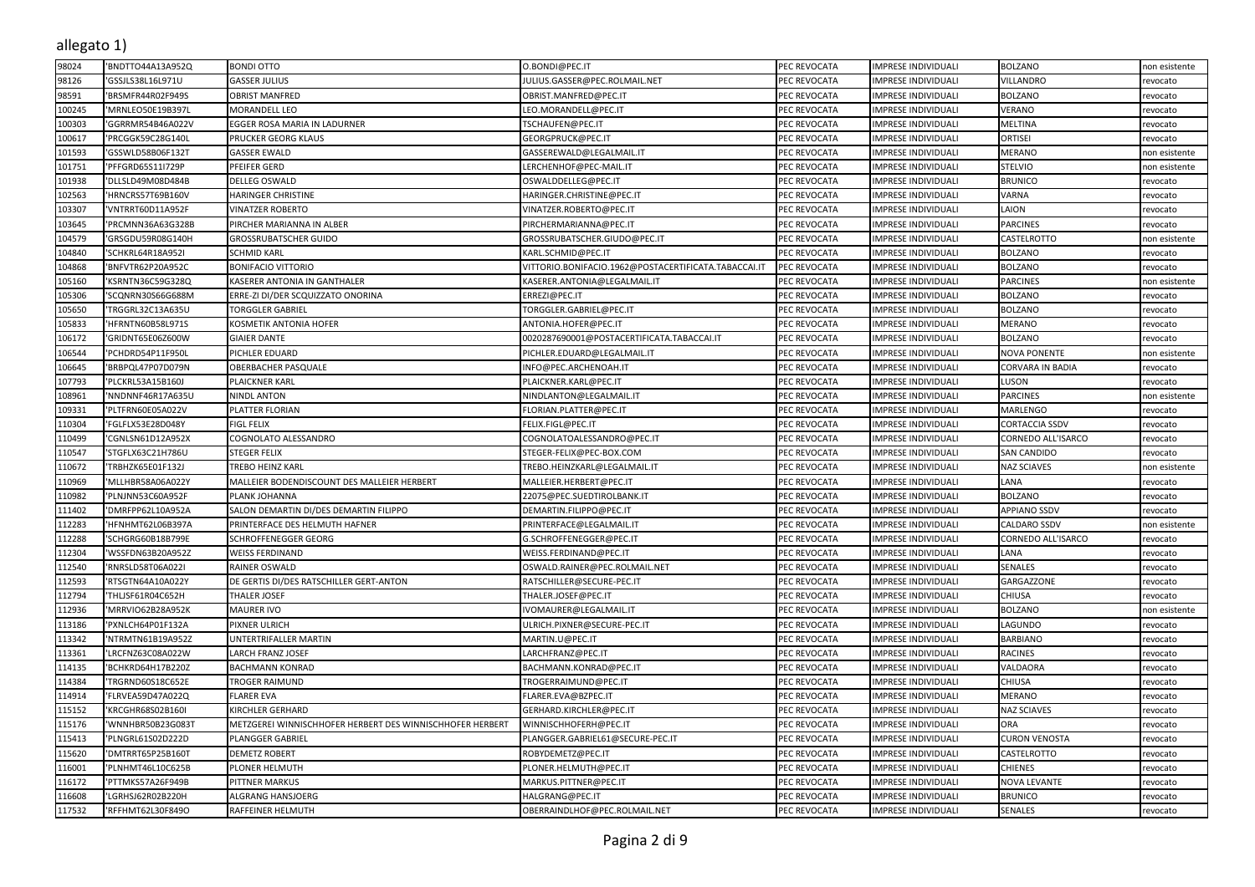| 98024  | 'BNDTTO44A13A952Q                    | <b>BONDI OTTO</b>                                         | O.BONDI@PEC.IT                                       | PEC REVOCATA | <b>IMPRESE INDIVIDUALI</b>                        | <b>BOLZANO</b>          | non esistente |
|--------|--------------------------------------|-----------------------------------------------------------|------------------------------------------------------|--------------|---------------------------------------------------|-------------------------|---------------|
| 98126  | 'GSSJLS38L16L971U                    | <b>GASSER JULIUS</b>                                      | JULIUS.GASSER@PEC.ROLMAIL.NET                        | PEC REVOCATA | <b>IMPRESE INDIVIDUALI</b>                        | VILLANDRO               | revocato      |
| 98591  | BRSMFR44R02F949S                     | <b>OBRIST MANFRED</b>                                     | OBRIST.MANFRED@PEC.IT                                | PEC REVOCATA | IMPRESE INDIVIDUALI                               | <b>BOLZANO</b>          | evocato       |
| 100245 | 'MRNLEO50E19B397L                    | MORANDELL LEO                                             | LEO.MORANDELL@PEC.IT                                 | PEC REVOCATA | IMPRESE INDIVIDUAL                                | VERANO                  | evocato       |
| 100303 | GGRRMR54B46A022V                     | EGGER ROSA MARIA IN LADURNER                              | TSCHAUFEN@PEC.IT                                     | PEC REVOCATA | IMPRESE INDIVIDUAL                                | <b>MELTINA</b>          | evocato       |
| 100617 | PRCGGK59C28G140L                     | PRUCKER GEORG KLAUS                                       | GEORGPRUCK@PEC.IT                                    | PEC REVOCATA | IMPRESE INDIVIDUALI                               | ORTISEI                 | evocato       |
| 101593 | 'GSSWLD58B06F132T                    | <b>GASSER EWALD</b>                                       | GASSEREWALD@LEGALMAIL.IT                             | PEC REVOCATA | IMPRESE INDIVIDUALI                               | <b>MERANO</b>           | non esistente |
| 101751 | PFFGRD65S11I729P                     | PFEIFER GERD                                              | LERCHENHOF@PEC-MAIL.IT                               | PEC REVOCATA | <b>IMPRESE INDIVIDUALI</b>                        | <b>STELVIO</b>          | non esistente |
| 101938 | 'DLLSLD49M08D484B                    | <b>DELLEG OSWALD</b>                                      | OSWALDDELLEG@PEC.IT                                  | PEC REVOCATA | IMPRESE INDIVIDUAL                                | <b>BRUNICO</b>          | evocato       |
| 102563 | 'HRNCRS57T69B160V                    | <b>HARINGER CHRISTINE</b>                                 | HARINGER.CHRISTINE@PEC.IT                            | PEC REVOCATA | IMPRESE INDIVIDUAL                                | VARNA                   | evocato       |
| 103307 | 'VNTRRT60D11A952F                    | <b>VINATZER ROBERTO</b>                                   | VINATZER.ROBERTO@PEC.IT                              | PEC REVOCATA | IMPRESE INDIVIDUALI                               | LAION                   | revocato      |
| 103645 | 'PRCMNN36A63G328B                    | PIRCHER MARIANNA IN ALBER                                 | PIRCHERMARIANNA@PEC.IT                               | PEC REVOCATA | IMPRESE INDIVIDUALI                               | <b>PARCINES</b>         | evocato       |
| 104579 | GRSGDU59R08G140H                     | GROSSRUBATSCHER GUIDO                                     | GROSSRUBATSCHER.GIUDO@PEC.IT                         | PEC REVOCATA | IMPRESE INDIVIDUALI                               | CASTELROTTO             | non esistente |
| 104840 | SCHKRL64R18A952I                     | SCHMID KARL                                               | KARL.SCHMID@PEC.IT                                   | PEC REVOCATA | <b>IMPRESE INDIVIDUALI</b>                        | <b>BOLZANO</b>          | evocato       |
| 104868 | 'BNFVTR62P20A952C                    | <b>BONIFACIO VITTORIO</b>                                 | VITTORIO.BONIFACIO.1962@POSTACERTIFICATA.TABACCAI.IT | PEC REVOCATA | IMPRESE INDIVIDUAL                                | <b>BOLZANO</b>          | evocato       |
| 105160 | KSRNTN36C59G328Q                     | KASERER ANTONIA IN GANTHALER                              | KASERER.ANTONIA@LEGALMAIL.IT                         | PEC REVOCATA | <b>IMPRESE INDIVIDUALI</b>                        | <b>PARCINES</b>         | non esistente |
| 105306 | 'SCQNRN30S66G688M                    | ERRE-ZI DI/DER SCQUIZZATO ONORINA                         | ERREZI@PEC.IT                                        | PEC REVOCATA | IMPRESE INDIVIDUALI                               | <b>BOLZANO</b>          | evocato       |
| 105650 | TRGGRL32C13A635U                     | TORGGLER GABRIEL                                          | TORGGLER.GABRIEL@PEC.IT                              | PEC REVOCATA | IMPRESE INDIVIDUALI                               | <b>BOLZANO</b>          | revocato      |
| 105833 | HFRNTN60B58L971S                     | KOSMETIK ANTONIA HOFER                                    | ANTONIA.HOFER@PEC.IT                                 | PEC REVOCATA | <b>IMPRESE INDIVIDUALI</b>                        | <b>MERANO</b>           | evocato       |
| 106172 | 'GRIDNT65E06Z600W                    | <b>GIAIER DANTE</b>                                       | 0020287690001@POSTACERTIFICATA.TABACCAI.IT           | PEC REVOCATA | IMPRESE INDIVIDUAL                                | <b>BOLZANO</b>          | evocato       |
| 106544 | PCHDRD54P11F950L                     | PICHLER EDUARD                                            | PICHLER.EDUARD@LEGALMAIL.IT                          | PEC REVOCATA | IMPRESE INDIVIDUAL                                | <b>NOVA PONENTE</b>     | non esistente |
| 106645 | BRBPQL47P07D079N                     | OBERBACHER PASQUALE                                       | INFO@PEC.ARCHENOAH.IT                                | PEC REVOCATA | IMPRESE INDIVIDUALI                               | <b>CORVARA IN BADIA</b> | evocato       |
| 107793 | 'PLCKRL53A15B160J                    | PLAICKNER KARL                                            | PLAICKNER.KARL@PEC.IT                                | PEC REVOCATA | IMPRESE INDIVIDUALI                               | LUSON                   | revocato      |
| 108961 | 'NNDNNF46R17A635U                    | <b>NINDL ANTON</b>                                        | NINDLANTON@LEGALMAIL.IT                              | PEC REVOCATA | IMPRESE INDIVIDUALI                               | <b>PARCINES</b>         | non esistente |
| 109331 | 'PLTFRN60E05A022V                    | PLATTER FLORIAN                                           | FLORIAN.PLATTER@PEC.IT                               | PEC REVOCATA | IMPRESE INDIVIDUAL                                | MARLENGO                | evocato       |
| 110304 | FGLFLX53E28D048Y                     | <b>FIGL FELIX</b>                                         | FELIX.FIGL@PEC.IT                                    | PEC REVOCATA | IMPRESE INDIVIDUAL                                | <b>CORTACCIA SSDV</b>   | revocato      |
| 110499 | 'CGNLSN61D12A952X                    | COGNOLATO ALESSANDRO                                      | COGNOLATOALESSANDRO@PEC.IT                           | PEC REVOCATA | <b>IMPRESE INDIVIDUALI</b>                        | CORNEDO ALL'ISARCO      | revocato      |
| 110547 | 'STGFLX63C21H786U                    | STEGER FELIX                                              | STEGER-FELIX@PEC-BOX.COM                             | PEC REVOCATA | IMPRESE INDIVIDUALI                               | <b>SAN CANDIDO</b>      | evocato       |
| 110672 | TRBHZK65E01F132J                     | TREBO HEINZ KARL                                          | TREBO.HEINZKARL@LEGALMAIL.IT                         | PEC REVOCATA | <b>IMPRESE INDIVIDUALI</b>                        | <b>NAZ SCIAVES</b>      | non esistente |
| 110969 | MLLHBR58A06A022Y                     | MALLEIER BODENDISCOUNT DES MALLEIER HERBERT               | MALLEIER.HERBERT@PEC.IT                              | PEC REVOCATA | IMPRESE INDIVIDUAL                                | LANA                    | evocato       |
| 110982 | 'PLNJNN53C60A952F                    | PLANK JOHANNA                                             | 22075@PEC.SUEDTIROLBANK.IT                           | PEC REVOCATA | IMPRESE INDIVIDUAL                                | <b>BOLZANO</b>          | revocato      |
| 111402 | 'DMRFPP62L10A952A                    | SALON DEMARTIN DI/DES DEMARTIN FILIPPO                    | DEMARTIN.FILIPPO@PEC.IT                              | PEC REVOCATA | IMPRESE INDIVIDUALI                               | <b>APPIANO SSDV</b>     | revocato      |
| 112283 | HFNHMT62L06B397A                     | PRINTERFACE DES HELMUTH HAFNER                            | PRINTERFACE@LEGALMAIL.IT                             | PEC REVOCATA | IMPRESE INDIVIDUALI                               | CALDARO SSDV            | non esistente |
| 112288 | SCHGRG60B18B799E                     | SCHROFFENEGGER GEORG                                      | G.SCHROFFENEGGER@PEC.IT                              | PEC REVOCATA | IMPRESE INDIVIDUALI                               | CORNEDO ALL'ISARCO      | revocato      |
| 112304 | WSSFDN63B20A952Z                     | <b>WEISS FERDINAND</b>                                    | WEISS.FERDINAND@PEC.IT                               | PEC REVOCATA | IMPRESE INDIVIDUAL                                | LANA                    | evocato       |
| 112540 | 'RNRSLD58T06A022I                    | <b>RAINER OSWALD</b>                                      | OSWALD.RAINER@PEC.ROLMAIL.NET                        | PEC REVOCATA | IMPRESE INDIVIDUAL                                | SENALES                 | revocato      |
| 112593 | 'RTSGTN64A10A022Y                    |                                                           |                                                      | PEC REVOCATA | IMPRESE INDIVIDUALI                               | GARGAZZONE              |               |
| 112794 | 'THLJSF61R04C652H                    | DE GERTIS DI/DES RATSCHILLER GERT-ANTON<br>THALER JOSEF   | RATSCHILLER@SECURE-PEC.IT<br>THALER.JOSEF@PEC.IT     | PEC REVOCATA | IMPRESE INDIVIDUAL                                | CHIUSA                  | revocato      |
| 112936 |                                      | <b>MAURER IVO</b>                                         |                                                      | PEC REVOCATA |                                                   | <b>BOLZANO</b>          | evocato       |
| 113186 | MRRVIO62B28A952K<br>PXNLCH64P01F132A | PIXNER ULRICH                                             | IVOMAURER@LEGALMAIL.IT                               | PEC REVOCATA | IMPRESE INDIVIDUALI<br><b>IMPRESE INDIVIDUALI</b> | LAGUNDO                 | non esistente |
| 113342 |                                      |                                                           | ULRICH.PIXNER@SECURE-PEC.IT                          |              |                                                   | <b>BARBIANO</b>         | evocato       |
|        | NTRMTN61B19A952Z                     | UNTERTRIFALLER MARTIN                                     | MARTIN.U@PEC.IT                                      | PEC REVOCATA | IMPRESE INDIVIDUAL                                |                         | revocato      |
| 113361 | 'LRCFNZ63C08A022W                    | <b>LARCH FRANZ JOSEF</b>                                  | LARCHFRANZ@PEC.IT                                    | PEC REVOCATA | <b>IMPRESE INDIVIDUALI</b>                        | <b>RACINES</b>          | evocato       |
| 114135 | BCHKRD64H17B220Z                     | <b>BACHMANN KONRAD</b>                                    | BACHMANN.KONRAD@PEC.IT                               | PEC REVOCATA | IMPRESE INDIVIDUALI                               | VALDAORA                | evocato       |
| 114384 | 'TRGRND60S18C652E                    | TROGER RAIMUND                                            | TROGERRAIMUND@PEC.IT                                 | PEC REVOCATA | IMPRESE INDIVIDUALI                               | CHIUSA                  | revocato      |
| 114914 | FLRVEA59D47A022Q                     | <b>FLARER EVA</b>                                         | FLARER.EVA@BZPEC.IT                                  | PEC REVOCATA | IMPRESE INDIVIDUALI                               | <b>MERANO</b>           | evocato       |
| 115152 | KRCGHR68S02B160I                     | KIRCHLER GERHARD                                          | GERHARD.KIRCHLER@PEC.IT                              | PEC REVOCATA | IMPRESE INDIVIDUAL                                | <b>NAZ SCIAVES</b>      | evocato       |
| 115176 | 'WNNHBR50B23G083T                    | METZGEREI WINNISCHHOFER HERBERT DES WINNISCHHOFER HERBERT | WINNISCHHOFERH@PEC.IT                                | PEC REVOCATA | IMPRESE INDIVIDUAL                                | <b>ORA</b>              | evocato       |
| 115413 | 'PLNGRL61S02D222D                    | PLANGGER GABRIEL                                          | PLANGGER.GABRIEL61@SECURE-PEC.IT                     | PEC REVOCATA | IMPRESE INDIVIDUALI                               | <b>CURON VENOSTA</b>    | revocato      |
| 115620 | 'DMTRRT65P25B160T                    | <b>DEMETZ ROBERT</b>                                      | ROBYDEMETZ@PEC.IT                                    | PEC REVOCATA | IMPRESE INDIVIDUALI                               | CASTELROTTO             | revocato      |
| 116001 | PLNHMT46L10C625B                     | PLONER HELMUTH                                            | PLONER.HELMUTH@PEC.IT                                | PEC REVOCATA | <b>IMPRESE INDIVIDUALI</b>                        | <b>CHIENES</b>          | evocato       |
| 116172 | PTTMKS57A26F949B                     | PITTNER MARKUS                                            | MARKUS.PITTNER@PEC.IT                                | PEC REVOCATA | IMPRESE INDIVIDUAL                                | NOVA LEVANTE            | evocato       |
| 116608 | 'LGRHSJ62R02B220H                    | ALGRANG HANSJOERG                                         | HALGRANG@PEC.IT                                      | PEC REVOCATA | IMPRESE INDIVIDUAL                                | <b>BRUNICO</b>          | revocato      |
| 117532 | 'RFFHMT62L30F849O                    | RAFFEINER HELMUTH                                         | OBERRAINDLHOF@PEC.ROLMAIL.NET                        | PEC REVOCATA | <b>IMPRESE INDIVIDUALI</b>                        | SENALES                 | revocato      |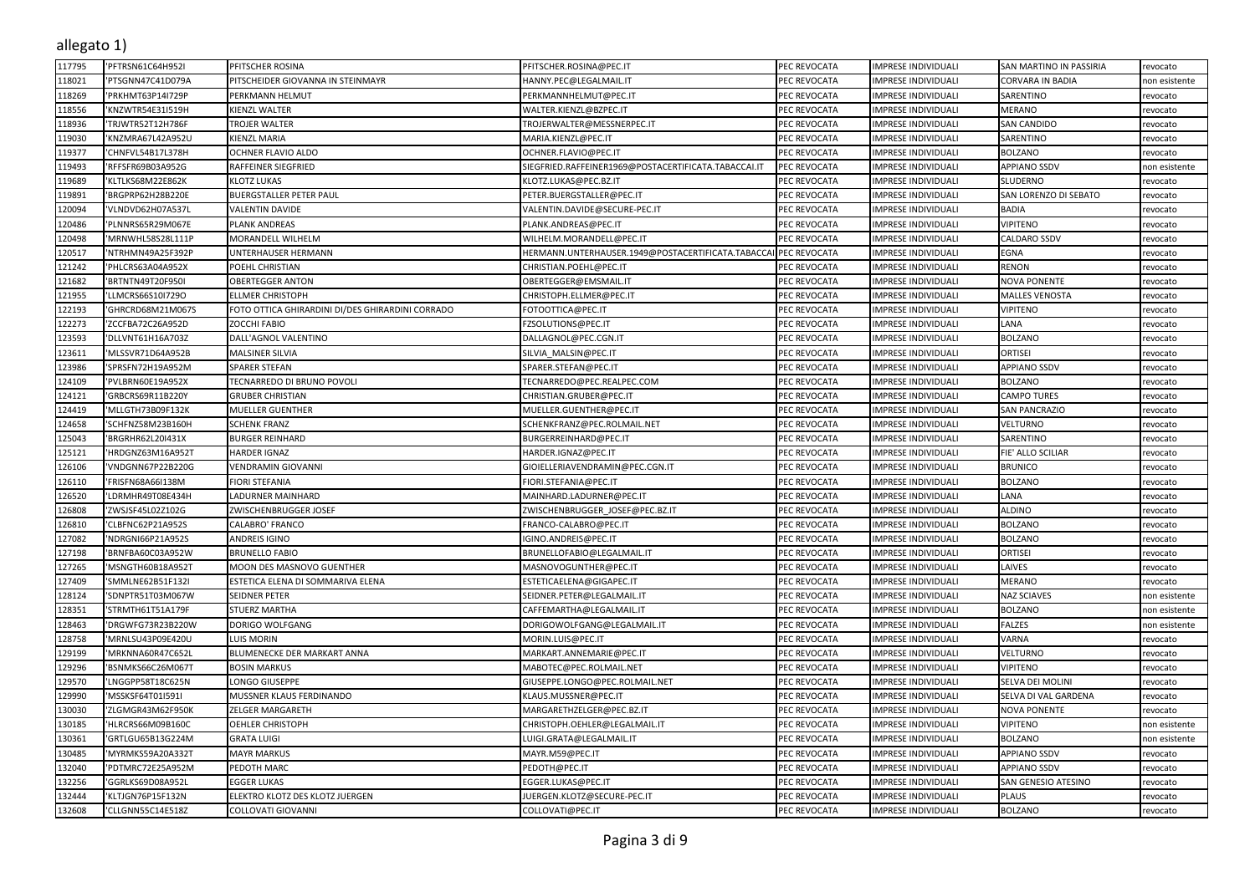## allegato 1)

| 117795           | 'PFTRSN61C64H952I | PFITSCHER ROSINA                                 | PFITSCHER.ROSINA@PEC.IT                              | PEC REVOCATA | <b>MPRESE INDIVIDUALI</b> | SAN MARTINO IN PASSIRIA | revocato                  |
|------------------|-------------------|--------------------------------------------------|------------------------------------------------------|--------------|---------------------------|-------------------------|---------------------------|
| 118021           | 'PTSGNN47C41D079A | PITSCHEIDER GIOVANNA IN STEINMAYR                | HANNY.PEC@LEGALMAIL.IT                               | PEC REVOCATA | MPRESE INDIVIDUALI        | CORVARA IN BADIA        | non esistente             |
| 118269           | 'PRKHMT63P14I729P | PERKMANN HELMUT                                  | PERKMANNHELMUT@PEC.IT                                | PEC REVOCATA | MPRESE INDIVIDUALI        | SARENTINO               | revocato                  |
| 118556           | 'KNZWTR54E31I519H | KIENZL WALTER                                    | WALTER.KIENZL@BZPEC.IT                               | PEC REVOCATA | MPRESE INDIVIDUAL         | <b>MERANO</b>           | revocato                  |
| 118936           | 'TRJWTR52T12H786F | TROJER WALTER                                    | TROJERWALTER@MESSNERPEC.IT                           | PEC REVOCATA | MPRESE INDIVIDUALI        | SAN CANDIDO             | revocato                  |
| 119030           | KNZMRA67L42A952U  | <b>KIENZL MARIA</b>                              | MARIA.KIENZL@PEC.IT                                  | PEC REVOCATA | MPRESE INDIVIDUALI        | SARENTINO               | revocato                  |
| 119377           | 'CHNFVL54B17L378H | OCHNER FLAVIO ALDO                               | OCHNER.FLAVIO@PEC.IT                                 | PEC REVOCATA | MPRESE INDIVIDUALI        | <b>BOLZANO</b>          | revocato                  |
| 119493           | 'RFFSFR69B03A952G | RAFFEINER SIEGFRIED                              | SIEGFRIED.RAFFEINER1969@POSTACERTIFICATA.TABACCAI.IT | PEC REVOCATA | MPRESE INDIVIDUALI        | <b>APPIANO SSDV</b>     | non esistente             |
| 119689           | KLTLKS68M22E862K  | <b>KLOTZ LUKAS</b>                               | KLOTZ.LUKAS@PEC.BZ.IT                                | PEC REVOCATA | MPRESE INDIVIDUAL         | SLUDERNO                | revocato                  |
| 119891           | 'BRGPRP62H28B220E | <b>BUERGSTALLER PETER PAUL</b>                   | PETER.BUERGSTALLER@PEC.IT                            | PEC REVOCATA | MPRESE INDIVIDUALI        | SAN LORENZO DI SEBATO   | revocato                  |
| 120094           | 'VLNDVD62H07A537L | <b>VALENTIN DAVIDE</b>                           | VALENTIN.DAVIDE@SECURE-PEC.IT                        | PEC REVOCATA | MPRESE INDIVIDUALI        | BADIA                   | revocato                  |
| 120486           | 'PLNNRS65R29M067E | <b>PLANK ANDREAS</b>                             | PLANK.ANDREAS@PEC.IT                                 | PEC REVOCATA | MPRESE INDIVIDUALI        | VIPITENO                | revocato                  |
| 120498           | 'MRNWHL58S28L111P | MORANDELL WILHELM                                | WILHELM.MORANDELL@PEC.IT                             | PEC REVOCATA | MPRESE INDIVIDUALI        | CALDARO SSDV            | revocato                  |
| 120517           | 'NTRHMN49A25F392F | UNTERHAUSER HERMANN                              | HERMANN.UNTERHAUSER.1949@POSTACERTIFICATA.TABACCA    | PEC REVOCATA | MPRESE INDIVIDUALI        | EGNA                    | revocato                  |
| 121242           | 'PHLCRS63A04A952X | POEHL CHRISTIAN                                  | CHRISTIAN.POEHL@PEC.IT                               | PEC REVOCATA | MPRESE INDIVIDUAL         | <b>RENON</b>            | revocato                  |
| 121682           | 'BRTNTN49T20F950I | <b>OBERTEGGER ANTON</b>                          | OBERTEGGER@EMSMAIL.IT                                | PEC REVOCATA | MPRESE INDIVIDUALI        | <b>NOVA PONENTE</b>     | revocato                  |
| 121955           | 'LLMCRS66S10I729O | <b>ELLMER CHRISTOPH</b>                          | CHRISTOPH.ELLMER@PEC.IT                              | PEC REVOCATA | MPRESE INDIVIDUALI        | MALLES VENOSTA          | revocato                  |
| 122193           | 'GHRCRD68M21M067S | FOTO OTTICA GHIRARDINI DI/DES GHIRARDINI CORRADO | FOTOOTTICA@PEC.IT                                    | PEC REVOCATA | MPRESE INDIVIDUALI        | VIPITENO                | revocato                  |
| 122273           | 'ZCCFBA72C26A952D | ZOCCHI FABIO                                     | EZSOLUTIONS@PEC.IT                                   | PEC REVOCATA | MPRESE INDIVIDUALI        | LANA                    | revocato                  |
| 123593           | 'DLLVNT61H16A703Z | DALL'AGNOL VALENTINO                             | DALLAGNOL@PEC.CGN.IT                                 | PEC REVOCATA | MPRESE INDIVIDUALI        | <b>BOLZANO</b>          | revocato                  |
| 123611           | 'MLSSVR71D64A952B | MALSINER SILVIA                                  | SILVIA MALSIN@PEC.IT                                 | PEC REVOCATA | MPRESE INDIVIDUALI        | ORTISEI                 | revocato                  |
| 123986           | 'SPRSFN72H19A952M | SPARER STEFAN                                    | SPARER.STEFAN@PEC.IT                                 | PEC REVOCATA | MPRESE INDIVIDUALI        | <b>APPIANO SSDV</b>     | revocato                  |
| 124109           | 'PVLBRN60E19A952X | TECNARREDO DI BRUNO POVOLI                       | TECNARREDO@PEC.REALPEC.COM                           | PEC REVOCATA | MPRESE INDIVIDUALI        | <b>BOLZANO</b>          | revocato                  |
| 124121           | 'GRBCRS69R11B220Y | <b>GRUBER CHRISTIAN</b>                          | CHRISTIAN.GRUBER@PEC.IT                              | PEC REVOCATA | MPRESE INDIVIDUALI        | CAMPO TURES             | revocato                  |
| 124419           | 'MLLGTH73B09F132K | MUELLER GUENTHER                                 | MUELLER.GUENTHER@PEC.IT                              | PEC REVOCATA | MPRESE INDIVIDUALI        | SAN PANCRAZIO           | revocato                  |
| 124658           | 'SCHFNZ58M23B160H | <b>SCHENK FRANZ</b>                              | SCHENKFRANZ@PEC.ROLMAIL.NET                          | PEC REVOCATA | MPRESE INDIVIDUALI        | VELTURNO                | revocato                  |
| 125043           | 'BRGRHR62L20I431X | <b>BURGER REINHARD</b>                           | BURGERREINHARD@PEC.IT                                | PEC REVOCATA | MPRESE INDIVIDUALI        | SARENTINO               | revocato                  |
| 125121           | 'HRDGNZ63M16A9521 | <b>HARDER IGNAZ</b>                              | HARDER.IGNAZ@PEC.IT                                  | PEC REVOCATA | MPRESE INDIVIDUALI        | FIE' ALLO SCILIAR       | revocato                  |
| 126106           | 'VNDGNN67P22B220G | VENDRAMIN GIOVANNI                               | GIOIELLERIAVENDRAMIN@PEC.CGN.IT                      | PEC REVOCATA | MPRESE INDIVIDUALI        | <b>BRUNICO</b>          | revocato                  |
| 126110           | 'FRISFN68A66I138M | FIORI STEFANIA                                   | FIORI.STEFANIA@PEC.IT                                | PEC REVOCATA | MPRESE INDIVIDUALI        | BOLZANO                 | revocato                  |
| 126520           | 'LDRMHR49T08E434H | <b>LADURNER MAINHARD</b>                         | MAINHARD.LADURNER@PEC.IT                             | PEC REVOCATA | MPRESE INDIVIDUAL         | LANA                    | revocato                  |
| 126808           | 'ZWSJSF45L02Z102G | ZWISCHENBRUGGER JOSEF                            | ZWISCHENBRUGGER_JOSEF@PEC.BZ.IT                      | PEC REVOCATA | MPRESE INDIVIDUALI        | <b>ALDINO</b>           | revocato                  |
| 126810           | 'CLBFNC62P21A952S | CALABRO' FRANCO                                  | FRANCO-CALABRO@PEC.IT                                | PEC REVOCATA | MPRESE INDIVIDUALI        | <b>BOLZANO</b>          | revocato                  |
| 127082           | 'NDRGNI66P21A952S | ANDREIS IGINO                                    | IGINO.ANDREIS@PEC.IT                                 | PEC REVOCATA | MPRESE INDIVIDUALI        | <b>BOLZANO</b>          | revocato                  |
| 127198           | 'BRNFBA60C03A952W | <b>BRUNELLO FABIO</b>                            | BRUNELLOFABIO@LEGALMAIL.IT                           | PEC REVOCATA | MPRESE INDIVIDUALI        | ORTISEI                 | revocato                  |
| 127265           | 'MSNGTH60B18A952T | MOON DES MASNOVO GUENTHER                        | MASNOVOGUNTHER@PEC.IT                                | PEC REVOCATA | MPRESE INDIVIDUAL         | LAIVES                  | revocato                  |
| 127409           | 'SMMLNE62B51F132I | ESTETICA ELENA DI SOMMARIVA ELENA                | ESTETICAELENA@GIGAPEC.IT                             | PEC REVOCATA | MPRESE INDIVIDUALI        | <b>MERANO</b>           | revocato                  |
| 128124           | 'SDNPTR51T03M067W | <b>SEIDNER PETER</b>                             | SEIDNER.PETER@LEGALMAIL.IT                           | PEC REVOCATA | MPRESE INDIVIDUALI        | <b>NAZ SCIAVES</b>      | non esistente             |
| 128351           | 'STRMTH61T51A179F | <b>STUERZ MARTHA</b>                             | CAFFEMARTHA@LEGALMAIL.IT                             | PEC REVOCATA | MPRESE INDIVIDUALI        | <b>BOLZANO</b>          |                           |
| 128463           | 'DRGWFG73R23B220W | DORIGO WOLFGANG                                  | DORIGOWOLFGANG@LEGALMAIL.IT                          | PEC REVOCATA | MPRESE INDIVIDUALI        | <b>FALZES</b>           | non esistente             |
| 128758           | 'MRNLSU43P09E420U | <b>LUIS MORIN</b>                                | MORIN.LUIS@PEC.IT                                    | PEC REVOCATA | MPRESE INDIVIDUALI        | VARNA                   | non esistente<br>revocato |
| 129199           |                   |                                                  |                                                      | PEC REVOCATA |                           |                         |                           |
|                  | 'MRKNNA60R47C652I | BLUMENECKE DER MARKART ANNA                      | MARKART.ANNEMARIE@PEC.IT                             |              | MPRESE INDIVIDUALI        | VELTURNO                | revocato                  |
| 129296<br>129570 | 'BSNMKS66C26M067T | <b>BOSIN MARKUS</b>                              | MABOTEC@PEC.ROLMAIL.NET                              | PEC REVOCATA | MPRESE INDIVIDUALI        | VIPITENO                | revocato                  |
|                  | 'LNGGPP58T18C625N | LONGO GIUSEPPE                                   | GIUSEPPE.LONGO@PEC.ROLMAIL.NET                       | PEC REVOCATA | MPRESE INDIVIDUALI        | SELVA DEI MOLINI        | revocato                  |
| 129990           | 'MSSKSF64T01I591I | MUSSNER KLAUS FERDINANDO                         | KLAUS.MUSSNER@PEC.IT                                 | PEC REVOCATA | MPRESE INDIVIDUALI        | SELVA DI VAL GARDENA    | revocato                  |
| 130030           | 'ZLGMGR43M62F950K | ZELGER MARGARETH                                 | MARGARETHZELGER@PEC.BZ.IT                            | PEC REVOCATA | MPRESE INDIVIDUALI        | <b>NOVA PONENTE</b>     | revocato                  |
| 130185           | 'HLRCRS66M09B160C | OEHLER CHRISTOPH                                 | CHRISTOPH.OEHLER@LEGALMAIL.IT                        | PEC REVOCATA | MPRESE INDIVIDUALI        | <b>VIPITENO</b>         | non esistente             |
| 130361           | 'GRTLGU65B13G224M | <b>GRATA LUIGI</b>                               | LUIGI.GRATA@LEGALMAIL.IT                             | PEC REVOCATA | MPRESE INDIVIDUALI        | <b>BOLZANO</b>          | non esistente             |
| 130485           | 'MYRMKS59A20A332T | <b>MAYR MARKUS</b>                               | MAYR.M59@PEC.IT                                      | PEC REVOCATA | MPRESE INDIVIDUALI        | <b>APPIANO SSDV</b>     | revocato                  |
| 132040           | 'PDTMRC72E25A952M | PEDOTH MARC                                      | PEDOTH@PEC.IT                                        | PEC REVOCATA | MPRESE INDIVIDUALI        | <b>APPIANO SSDV</b>     | revocato                  |
| 132256           | GGRLKS69D08A952L  | <b>EGGER LUKAS</b>                               | EGGER.LUKAS@PEC.IT                                   | PEC REVOCATA | MPRESE INDIVIDUALI        | SAN GENESIO ATESINO     | revocato                  |
| 132444           | 'KLTJGN76P15F132N | ELEKTRO KLOTZ DES KLOTZ JUERGEN                  | JUERGEN.KLOTZ@SECURE-PEC.IT                          | PEC REVOCATA | MPRESE INDIVIDUALI        | <b>PLAUS</b>            | revocato                  |
| 132608           | 'CLLGNN55C14E518Z | <b>COLLOVATI GIOVANNI</b>                        | COLLOVATI@PEC.IT                                     | PEC REVOCATA | IMPRESE INDIVIDUALI       | <b>BOLZANO</b>          | revocato                  |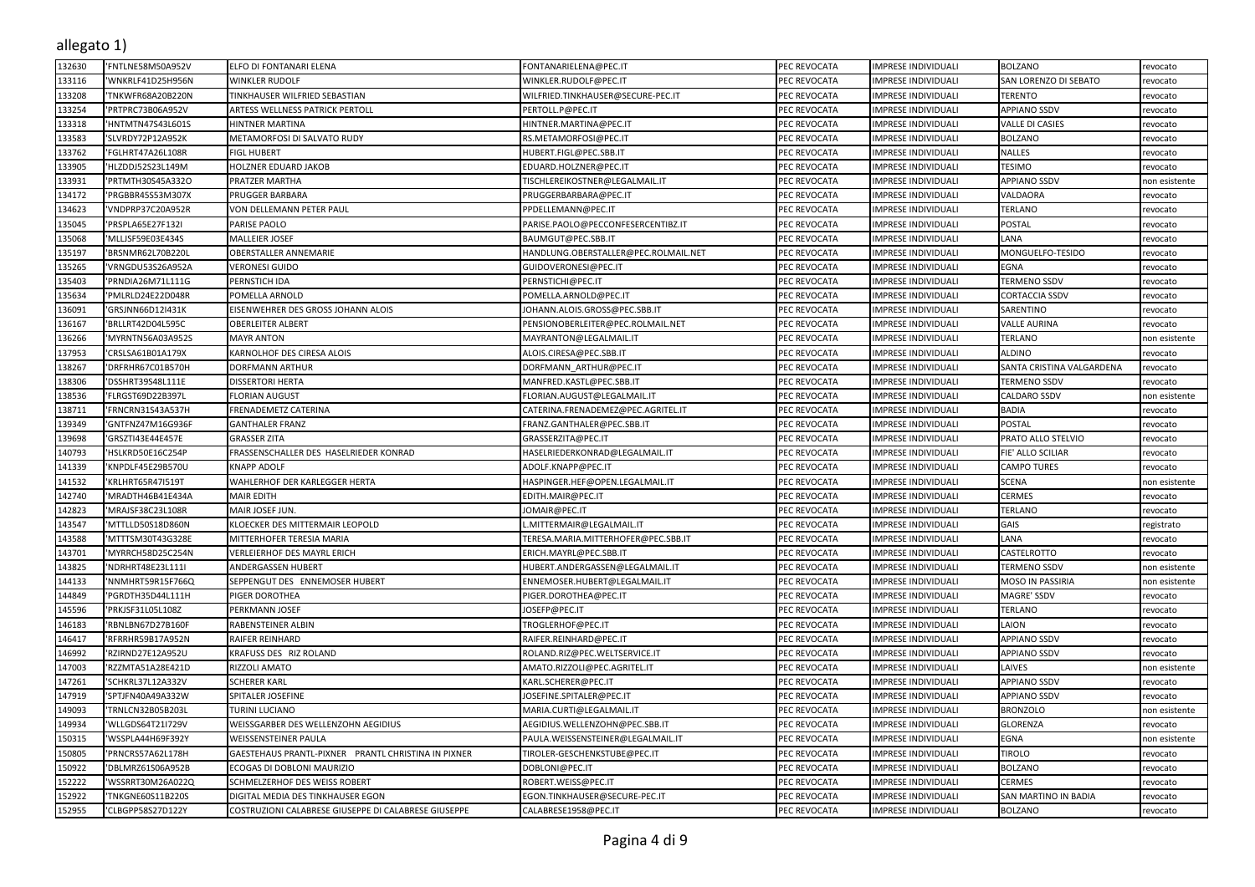| 132630          | 'FNTLNE58M50A952V                     | ELFO DI FONTANARI ELENA                              | FONTANARIELENA@PEC.IT                                | PEC REVOCATA                 | <b>IMPRESE INDIVIDUALI</b>                        | <b>BOLZANO</b>                         | revocato      |
|-----------------|---------------------------------------|------------------------------------------------------|------------------------------------------------------|------------------------------|---------------------------------------------------|----------------------------------------|---------------|
| 133116          | 'WNKRLF41D25H956N                     | <b>WINKLER RUDOLF</b>                                | WINKLER.RUDOLF@PEC.IT                                | PEC REVOCATA                 | <b>IMPRESE INDIVIDUALI</b>                        | SAN LORENZO DI SEBATO                  | revocato      |
| 133208          | TNKWFR68A20B220N                      | TINKHAUSER WILFRIED SEBASTIAN                        | WILFRIED.TINKHAUSER@SECURE-PEC.IT                    | PEC REVOCATA                 | IMPRESE INDIVIDUALI                               | <b>TERENTO</b>                         | evocato       |
| 133254          | 'PRTPRC73B06A952V                     | ARTESS WELLNESS PATRICK PERTOLI                      | PERTOLL.P@PEC.IT                                     | PEC REVOCATA                 | IMPRESE INDIVIDUALI                               | <b>APPIANO SSDV</b>                    | revocato      |
| 133318          | 'HNTMTN47S43L601S                     | HINTNER MARTINA                                      | HINTNER.MARTINA@PEC.IT                               | PEC REVOCATA                 | <b>IMPRESE INDIVIDUALI</b>                        | VALLE DI CASIES                        | revocato      |
| 133583          | 'SLVRDY72P12A952K                     | METAMORFOSI DI SALVATO RUDY                          | RS.METAMORFOSI@PEC.IT                                | PEC REVOCATA                 | <b>IMPRESE INDIVIDUALI</b>                        | <b>BOLZANO</b>                         | revocato      |
| 133762          | FGLHRT47A26L108R                      | <b>FIGL HUBERT</b>                                   | HUBERT.FIGL@PEC.SBB.IT                               | PEC REVOCATA                 | <b>IMPRESE INDIVIDUALI</b>                        | <b>NALLES</b>                          | revocato      |
| 33905           | HLZDDJ52S23L149M                      | HOLZNER EDUARD JAKOB                                 | EDUARD.HOLZNER@PEC.IT                                | PEC REVOCATA                 | IMPRESE INDIVIDUALI                               | <b>TESIMO</b>                          | evocato       |
| 33931           | PRTMTH30S45A332O                      | PRATZER MARTHA                                       | TISCHLEREIKOSTNER@LEGALMAIL.IT                       | PEC REVOCATA                 | IMPRESE INDIVIDUALI                               | <b>APPIANO SSDV</b>                    | non esistente |
| 134172          | 'PRGBBR45S53M307X                     | PRUGGER BARBARA                                      | PRUGGERBARBARA@PEC.IT                                | PEC REVOCATA                 | <b>IMPRESE INDIVIDUALI</b>                        | VALDAORA                               | revocato      |
| 134623          | 'VNDPRP37C20A952R                     | VON DELLEMANN PETER PAUL                             | PPDELLEMANN@PEC.IT                                   | PEC REVOCATA                 | IMPRESE INDIVIDUALI                               | TERLANO                                | revocato      |
| 35045           | 'PRSPLA65E27F132I                     | PARISE PAOLO                                         | PARISE.PAOLO@PECCONFESERCENTIBZ.IT                   | PEC REVOCATA                 | <b>IMPRESE INDIVIDUALI</b>                        | <b>POSTAL</b>                          | revocato      |
| 135068          | MLLJSF59E03E434S                      | MALLEIER JOSEF                                       | BAUMGUT@PEC.SBB.IT                                   | PEC REVOCATA                 | <b>IMPRESE INDIVIDUALI</b>                        | LANA                                   | evocato       |
| 35197           | BRSNMR62L70B220I                      | OBERSTALLER ANNEMARIE                                | HANDLUNG.OBERSTALLER@PEC.ROLMAIL.NET                 | PEC REVOCATA                 | IMPRESE INDIVIDUALI                               | MONGUELFO-TESIDO                       | evocato       |
| 135265          | 'VRNGDU53S26A952A                     | <b>VERONESI GUIDO</b>                                | GUIDOVERONESI@PEC.IT                                 | PEC REVOCATA                 | IMPRESE INDIVIDUAL                                | EGNA                                   | revocato      |
| 135403          | 'PRNDIA26M71L111G                     | PERNSTICH IDA                                        | PERNSTICHI@PEC.IT                                    | PEC REVOCATA                 | <b>IMPRESE INDIVIDUALI</b>                        | <b>TERMENO SSDV</b>                    | revocato      |
| 35634           | 'PMLRLD24E22D048R                     | POMELLA ARNOLD                                       | POMELLA.ARNOLD@PEC.IT                                | PEC REVOCATA                 | IMPRESE INDIVIDUALI                               | CORTACCIA SSDV                         | revocato      |
| 136091          | 'GRSJNN66D12I431K                     | EISENWEHRER DES GROSS JOHANN ALOIS                   | JOHANN.ALOIS.GROSS@PEC.SBB.IT                        | PEC REVOCATA                 | <b>IMPRESE INDIVIDUALI</b>                        | SARENTINO                              | evocato       |
| 136167          | BRLLRT42D04L595C                      | OBERLEITER ALBERT                                    | PENSIONOBERLEITER@PEC.ROLMAIL.NET                    | PEC REVOCATA                 | IMPRESE INDIVIDUALI                               | <b>VALLE AURINA</b>                    | evocato       |
| 136266          | 'MYRNTN56A03A952S                     | <b>MAYR ANTON</b>                                    | MAYRANTON@LEGALMAIL.IT                               | PEC REVOCATA                 | IMPRESE INDIVIDUALI                               | <b>TERLANO</b>                         | non esistente |
| 137953          | 'CRSLSA61B01A179X                     | KARNOLHOF DES CIRESA ALOIS                           | ALOIS.CIRESA@PEC.SBB.IT                              | PEC REVOCATA                 | IMPRESE INDIVIDUALI                               | <b>ALDINO</b>                          | revocato      |
| 38267           | 'DRFRHR67C01B570H                     | <b>DORFMANN ARTHUR</b>                               | DORFMANN ARTHUR@PEC.IT                               | PEC REVOCATA                 | <b>IMPRESE INDIVIDUALI</b>                        | SANTA CRISTINA VALGARDENA              | evocato       |
| 138306          | DSSHRT39S48L111E                      | <b>DISSERTORI HERTA</b>                              | MANFRED.KASTL@PEC.SBB.IT                             | PEC REVOCATA                 | IMPRESE INDIVIDUALI                               | <b>TERMENO SSDV</b>                    | revocato      |
| 138536          | FLRGST69D22B397L                      | <b>FLORIAN AUGUST</b>                                | FLORIAN.AUGUST@LEGALMAIL.IT                          | PEC REVOCATA                 | <b>IMPRESE INDIVIDUALI</b>                        | CALDARO SSDV                           | non esistente |
| 138711          | FRNCRN31S43A537H                      | FRENADEMETZ CATERINA                                 | CATERINA.FRENADEMEZ@PEC.AGRITEL.IT                   | PEC REVOCATA                 | IMPRESE INDIVIDUALI                               | <b>BADIA</b>                           | revocato      |
| 139349          | 'GNTFNZ47M16G936F                     | <b>GANTHALER FRANZ</b>                               | FRANZ.GANTHALER@PEC.SBB.IT                           | PEC REVOCATA                 | IMPRESE INDIVIDUALI                               | POSTAL                                 | revocato      |
| 39698           | 'GRSZTI43E44E457E                     | <b>GRASSER ZITA</b>                                  | GRASSERZITA@PEC.IT                                   | PEC REVOCATA                 | IMPRESE INDIVIDUALI                               | PRATO ALLO STELVIO                     | evocato       |
| 40793           | HSLKRD50E16C254P                      | FRASSENSCHALLER DES HASELRIEDER KONRAD               | HASELRIEDERKONRAD@LEGALMAIL.IT                       | PEC REVOCATA                 | IMPRESE INDIVIDUALI                               | FIE' ALLO SCILIAR                      | revocato      |
| 41339           | KNPDLF45E29B570U                      | <b>KNAPP ADOLF</b>                                   | ADOLF.KNAPP@PEC.IT                                   | PEC REVOCATA                 | <b>IMPRESE INDIVIDUALI</b>                        | <b>CAMPO TURES</b>                     | evocato       |
| 41532           | 'KRLHRT65R47I519T                     | WAHLERHOF DER KARLEGGER HERTA                        | HASPINGER.HEF@OPEN.LEGALMAIL.IT                      | PEC REVOCATA                 | <b>IMPRESE INDIVIDUAL</b>                         | <b>SCENA</b>                           | non esistente |
| 42740           | 'MRADTH46B41E434A                     | <b>MAIR EDITH</b>                                    | EDITH.MAIR@PEC.IT                                    | PEC REVOCATA                 | IMPRESE INDIVIDUALI                               | CERMES                                 | revocato      |
| 42823           | MRAJSF38C23L108R                      | MAIR JOSEF JUN                                       | JOMAIR@PEC.IT                                        | PEC REVOCATA                 | IMPRESE INDIVIDUALI                               | <b>TERLANO</b>                         | evocato       |
| 43547           | MTTLLD50S18D860N                      | KLOECKER DES MITTERMAIR LEOPOLD                      | L.MITTERMAIR@LEGALMAIL.IT                            | PEC REVOCATA                 | IMPRESE INDIVIDUALI                               | GAIS                                   | registrato    |
| 43588           | MTTTSM30T43G328E                      | MITTERHOFER TERESIA MARIA                            | TERESA.MARIA.MITTERHOFER@PEC.SBB.IT                  | PEC REVOCATA                 | IMPRESE INDIVIDUALI                               | LANA                                   | evocato       |
| 43701           | MYRRCH58D25C254N                      | VERLEIERHOF DES MAYRL ERICH                          | ERICH.MAYRL@PEC.SBB.IT                               | PEC REVOCATA                 | IMPRESE INDIVIDUALI                               | CASTELROTTO                            | evocato       |
| 143825          | 'NDRHRT48E23L111I                     | ANDERGASSEN HUBERT                                   | HUBERT.ANDERGASSEN@LEGALMAIL.IT                      | PEC REVOCATA                 | IMPRESE INDIVIDUALI                               | TERMENO SSDV                           | non esistente |
| 44133           | 'NNMHRT59R15F766Q                     | SEPPENGUT DES ENNEMOSER HUBERT                       | ENNEMOSER.HUBERT@LEGALMAIL.IT                        | PEC REVOCATA                 | IMPRESE INDIVIDUALI                               | MOSO IN PASSIRIA                       | non esistente |
| 44849           | PGRDTH35D44L111H                      | PIGER DOROTHEA                                       | PIGER.DOROTHEA@PEC.IT                                | PEC REVOCATA                 | IMPRESE INDIVIDUALI                               | MAGRE' SSDV                            | revocato      |
| 45596           | 'PRKJSF31L05L108Z                     | PERKMANN JOSEF                                       | JOSEFP@PEC.IT                                        | PEC REVOCATA                 | <b>IMPRESE INDIVIDUALI</b>                        | <b>TERLANO</b>                         | revocato      |
| 46183           | RBNLBN67D27B160F                      | RABENSTEINER ALBIN                                   | TROGLERHOF@PEC.IT                                    | PEC REVOCATA                 | IMPRESE INDIVIDUALI                               | LAION                                  | evocato       |
| 46417           | 'RFRRHR59B17A952N                     | RAIFER REINHARD                                      | RAIFER.REINHARD@PEC.IT                               | PEC REVOCATA                 | IMPRESE INDIVIDUALI                               | <b>APPIANO SSDV</b>                    | revocato      |
| 46992           | RZIRND27E12A952U                      | KRAFUSS DES RIZ ROLAND                               | ROLAND.RIZ@PEC.WELTSERVICE.IT                        | PEC REVOCATA                 | IMPRESE INDIVIDUALI                               | <b>APPIANO SSDV</b>                    | evocato       |
| 47003           | RZZMTA51A28E421D                      | RIZZOLI AMATO                                        | AMATO.RIZZOLI@PEC.AGRITEL.IT                         | PEC REVOCATA                 | IMPRESE INDIVIDUALI                               | LAIVES                                 | non esistente |
| 47261           | 'SCHKRL37L12A332V                     | SCHERER KARL                                         | KARL.SCHERER@PEC.IT                                  | PEC REVOCATA                 | IMPRESE INDIVIDUALI                               | <b>APPIANO SSDV</b>                    | evocato       |
|                 |                                       |                                                      |                                                      |                              |                                                   |                                        |               |
| 47919<br>149093 | SPTJFN40A49A332W<br>'TRNLCN32B05B203L | SPITALER JOSEFINE<br>TURINI LUCIANO                  | IOSEFINE.SPITALER@PEC.IT<br>MARIA.CURTI@LEGALMAIL.IT | PEC REVOCATA<br>PEC REVOCATA | <b>IMPRESE INDIVIDUALI</b><br>IMPRESE INDIVIDUALI | <b>APPIANO SSDV</b><br><b>BRONZOLO</b> | evocato       |
|                 |                                       |                                                      |                                                      |                              |                                                   |                                        | non esistente |
| 49934           | 'WLLGDS64T21I729V                     | WEISSGARBER DES WELLENZOHN AEGIDIUS                  | AEGIDIUS.WELLENZOHN@PEC.SBB.IT                       | PEC REVOCATA                 | IMPRESE INDIVIDUALI                               | <b>GLORENZA</b>                        | revocato      |
| 50315           | 'WSSPLA44H69F392Y                     | WEISSENSTEINER PAULA                                 | PAULA.WEISSENSTEINER@LEGALMAIL.IT                    | PEC REVOCATA                 | IMPRESE INDIVIDUALI                               | EGNA                                   | non esistente |
| 150805          | 'PRNCRS57A62L178H                     | GAESTEHAUS PRANTL-PIXNER PRANTL CHRISTINA IN PIXNER  | TIROLER-GESCHENKSTUBE@PEC.IT                         | PEC REVOCATA                 | IMPRESE INDIVIDUALI                               | <b>TIROLO</b>                          | evocato       |
| 150922          | DBLMRZ61S06A952B                      | ECOGAS DI DOBLONI MAURIZIO                           | DOBLONI@PEC.IT                                       | PEC REVOCATA                 | IMPRESE INDIVIDUALI                               | <b>BOLZANO</b>                         | evocato       |
| 152222          | 'WSSRRT30M26A022Q                     | SCHMELZERHOF DES WEISS ROBERT                        | ROBERT.WEISS@PEC.IT                                  | PEC REVOCATA                 | <b>IMPRESE INDIVIDUALI</b>                        | <b>CERMES</b>                          | revocato      |
| 152922          | 'TNKGNE60S11B220S                     | DIGITAL MEDIA DES TINKHAUSER EGON                    | EGON.TINKHAUSER@SECURE-PEC.IT                        | PEC REVOCATA                 | <b>IMPRESE INDIVIDUALI</b>                        | SAN MARTINO IN BADIA                   | revocato      |
| 152955          | 'CLBGPP58S27D122Y                     | COSTRUZIONI CALABRESE GIUSEPPE DI CALABRESE GIUSEPPE | CALABRESE1958@PEC.IT                                 | PEC REVOCATA                 | <b>IMPRESE INDIVIDUALI</b>                        | <b>BOLZANO</b>                         | revocato      |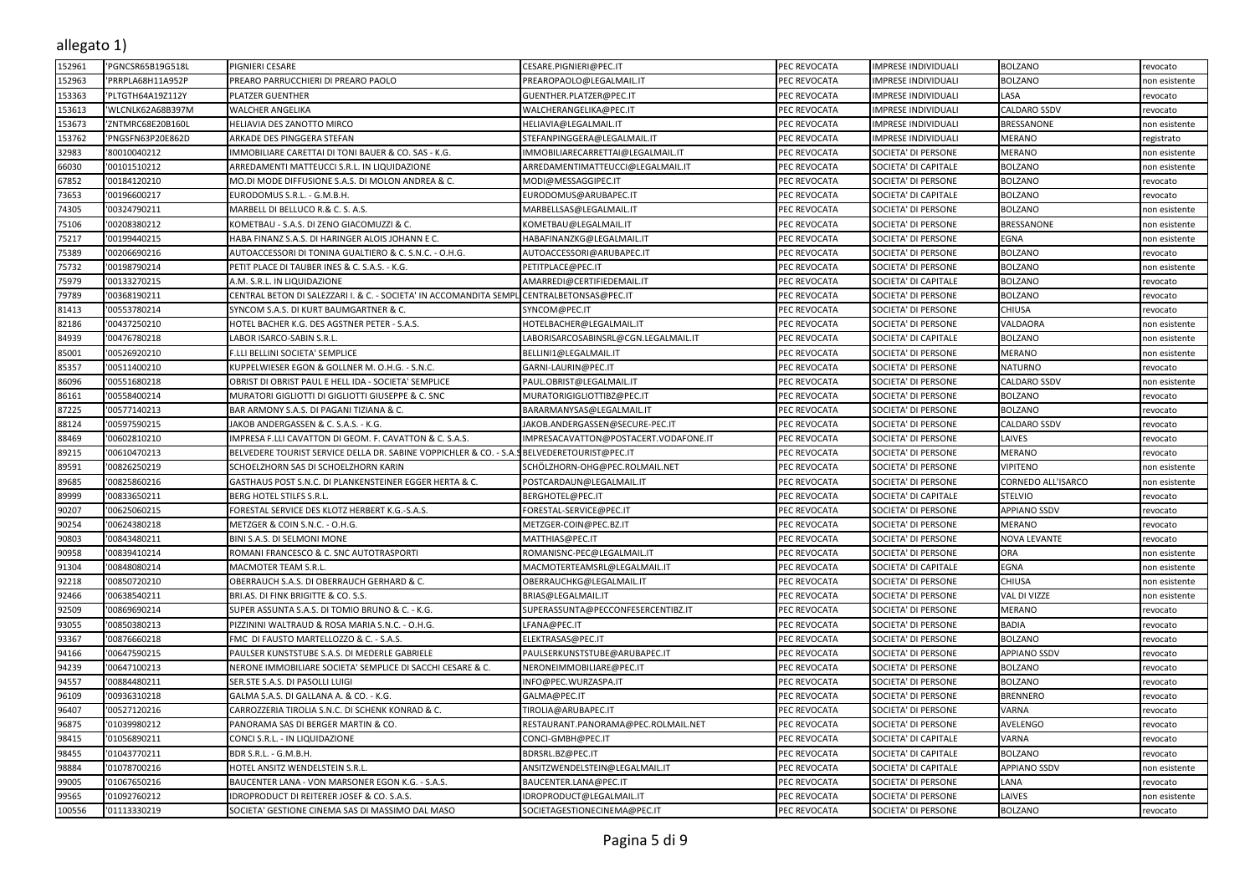| 152961         | 'PGNCSR65B19G518L            | PIGNIERI CESARE                                                                               | CESARE.PIGNIERI@PEC.IT                | PEC REVOCATA | <b>IMPRESE INDIVIDUALI</b>                 | <b>BOLZANO</b>            | revocato      |
|----------------|------------------------------|-----------------------------------------------------------------------------------------------|---------------------------------------|--------------|--------------------------------------------|---------------------------|---------------|
| 152963         | 'PRRPLA68H11A952P            | PREARO PARRUCCHIERI DI PREARO PAOLO                                                           | PREAROPAOLO@LEGALMAIL.IT              | PEC REVOCATA | IMPRESE INDIVIDUALI                        | <b>BOLZANO</b>            | non esistente |
| 153363         | 'PLTGTH64A19Z112Y            | PLATZER GUENTHER                                                                              | GUENTHER.PLATZER@PEC.IT               | PEC REVOCATA | <b>IMPRESE INDIVIDUALI</b>                 | LASA                      | revocato      |
| 153613         | WLCNLK62A68B397N             | WALCHER ANGELIKA                                                                              | WALCHERANGELIKA@PEC.IT                | PEC REVOCATA | IMPRESE INDIVIDUALI                        | CALDARO SSDV              | revocato      |
| 153673         | 'ZNTMRC68E20B160L            | HELIAVIA DES ZANOTTO MIRCO                                                                    |                                       | PEC REVOCATA | IMPRESE INDIVIDUALI                        | BRESSANONE                |               |
|                |                              |                                                                                               | HELIAVIA@LEGALMAIL.IT                 |              |                                            |                           | non esistente |
| 153762         | 'PNGSFN63P20E862D            | ARKADE DES PINGGERA STEFAN                                                                    | STEFANPINGGERA@LEGALMAIL.IT           | PEC REVOCATA | <b>IMPRESE INDIVIDUALI</b>                 | MERANO                    | egistrato     |
| 32983          | 80010040212                  | IMMOBILIARE CARETTAI DI TONI BAUER & CO. SAS - K.G.                                           | IMMOBILIARECARRETTAI@LEGALMAIL.IT     | PEC REVOCATA | SOCIETA' DI PERSONE                        | MERANO                    | non esistente |
| 66030          | 00101510212                  | ARREDAMENTI MATTEUCCI S.R.L. IN LIQUIDAZIONE                                                  | ARREDAMENTIMATTEUCCI@LEGALMAIL.IT     | PEC REVOCATA | SOCIETA' DI CAPITALE                       | <b>BOLZANO</b>            | non esistente |
| 67852          | '00184120210                 | MO.DI MODE DIFFUSIONE S.A.S. DI MOLON ANDREA & C.                                             | MODI@MESSAGGIPEC.IT                   | PEC REVOCATA | SOCIETA' DI PERSONE                        | <b>BOLZANO</b>            | revocato      |
| 73653          | '00196600217                 | EURODOMUS S.R.L. - G.M.B.H.                                                                   | EURODOMUS@ARUBAPEC.IT                 | PEC REVOCATA | SOCIETA' DI CAPITALE                       | BOLZANO                   | revocato      |
| 74305          | '00324790211                 | MARBELL DI BELLUCO R.& C. S. A.S.                                                             | MARBELLSAS@LEGALMAIL.IT               | PEC REVOCATA | SOCIETA' DI PERSONE                        | <b>BOLZANO</b>            | non esistente |
| 75106          | '00208380212                 | KOMETBAU - S.A.S. DI ZENO GIACOMUZZI & C.                                                     | KOMETBAU@LEGALMAIL.IT                 | PEC REVOCATA | SOCIETA' DI PERSONE                        | BRESSANONE                | non esistente |
| 75217          | '00199440215                 | HABA FINANZ S.A.S. DI HARINGER ALOIS JOHANN E C.                                              | HABAFINANZKG@LEGALMAIL.IT             | PEC REVOCATA | SOCIETA' DI PERSONE                        | EGNA                      | non esistente |
| 75389          | '00206690216                 | AUTOACCESSORI DI TONINA GUALTIERO & C. S.N.C. - O.H.G.                                        | AUTOACCESSORI@ARUBAPEC.IT             | PEC REVOCATA | SOCIETA' DI PERSONE                        | <b>BOLZANO</b>            | revocato      |
| 75732          | '00198790214                 | PETIT PLACE DI TAUBER INES & C. S.A.S. - K.G.                                                 | PETITPLACE@PEC.IT                     | PEC REVOCATA | SOCIETA' DI PERSONE                        | <b>BOLZANO</b>            | non esistente |
| 75979          | '00133270215                 | A.M. S.R.L. IN LIQUIDAZIONE                                                                   | AMARREDI@CERTIFIEDEMAIL.IT            | PEC REVOCATA | SOCIETA' DI CAPITALE                       | BOLZANO                   | revocato      |
| 79789          | '00368190211                 | CENTRAL BETON DI SALEZZARI I. & C. - SOCIETA' IN ACCOMANDITA SEMPLICENTRALBETONSAS@PEC.IT     |                                       | PEC REVOCATA | SOCIETA' DI PERSONE                        | BOLZANO                   | revocato      |
| 81413          | '00553780214                 | SYNCOM S.A.S. DI KURT BAUMGARTNER & C.                                                        | SYNCOM@PEC.IT                         | PEC REVOCATA | SOCIETA' DI PERSONE                        | CHIUSA                    | revocato      |
| 82186          | '00437250210                 | HOTEL BACHER K.G. DES AGSTNER PETER - S.A.S.                                                  | HOTELBACHER@LEGALMAIL.IT              | PEC REVOCATA | SOCIETA' DI PERSONE                        | VALDAORA                  | non esistente |
| 84939          | '00476780218                 | LABOR ISARCO-SABIN S.R.L                                                                      | LABORISARCOSABINSRL@CGN.LEGALMAIL.IT  | PEC REVOCATA | SOCIETA' DI CAPITALE                       | <b>BOLZANO</b>            | non esistente |
| 85001          | '00526920210                 | F.LLI BELLINI SOCIETA' SEMPLICE                                                               | BELLINI1@LEGALMAIL.IT                 | PEC REVOCATA | SOCIETA' DI PERSONE                        | MERANO                    | non esistente |
| 85357          | 00511400210                  | KUPPELWIESER EGON & GOLLNER M. O.H.G. - S.N.C.                                                | GARNI-LAURIN@PEC.IT                   | PEC REVOCATA | SOCIETA' DI PERSONE                        | NATURNO                   | revocato      |
| 86096          | 00551680218                  | OBRIST DI OBRIST PAUL E HELL IDA - SOCIETA' SEMPLICE                                          | PAUL.OBRIST@LEGALMAIL.IT              | PEC REVOCATA | SOCIETA' DI PERSONE                        | CALDARO SSDV              | non esistente |
| 86161          | '00558400214                 | MURATORI GIGLIOTTI DI GIGLIOTTI GIUSEPPE & C. SNC                                             | MURATORIGIGLIOTTIBZ@PEC.IT            | PEC REVOCATA | SOCIETA' DI PERSONE                        | BOLZANO                   | revocato      |
| 87225          | '00577140213                 | BAR ARMONY S.A.S. DI PAGANI TIZIANA & C                                                       | BARARMANYSAS@LEGALMAIL.IT             | PEC REVOCATA | SOCIETA' DI PERSONE                        | <b>BOLZANO</b>            | revocato      |
| 88124          | '00597590215                 | JAKOB ANDERGASSEN & C. S.A.S. - K.G.                                                          | JAKOB.ANDERGASSEN@SECURE-PEC.IT       | PEC REVOCATA | SOCIETA' DI PERSONE                        | CALDARO SSDV              | revocato      |
| 88469          | '00602810210                 | IMPRESA F.LLI CAVATTON DI GEOM. F. CAVATTON & C. S.A.S.                                       | IMPRESACAVATTON@POSTACERT.VODAFONE.IT | PEC REVOCATA | SOCIETA' DI PERSONE                        | LAIVES                    | revocato      |
| 89215          | '00610470213                 | BELVEDERE TOURIST SERVICE DELLA DR. SABINE VOPPICHLER & CO. - S.A.S                           | BELVEDERETOURIST@PEC.IT               | PEC REVOCATA | SOCIETA' DI PERSONE                        | MERANO                    | revocato      |
| 89591          | '00826250219                 | SCHOELZHORN SAS DI SCHOELZHORN KARIN                                                          | SCHÖLZHORN-OHG@PEC.ROLMAIL.NET        | PEC REVOCATA | SOCIETA' DI PERSONE                        | VIPITENO                  | non esistente |
| 89685          | '00825860216                 | GASTHAUS POST S.N.C. DI PLANKENSTEINER EGGER HERTA & C.                                       | POSTCARDAUN@LEGALMAIL.IT              | PEC REVOCATA | SOCIETA' DI PERSONE                        | CORNEDO ALL'ISARCO        | non esistente |
| 89999          | '00833650211                 | BERG HOTEL STILFS S.R.L                                                                       | BERGHOTEL@PEC.IT                      | PEC REVOCATA | SOCIETA' DI CAPITALE                       | <b>STELVIO</b>            | revocato      |
| 90207          | '00625060215                 | FORESTAL SERVICE DES KLOTZ HERBERT K.G.-S.A.S.                                                | FORESTAL-SERVICE@PEC.IT               | PEC REVOCATA | SOCIETA' DI PERSONE                        | <b>APPIANO SSDV</b>       | revocato      |
| 90254          | '00624380218                 | METZGER & COIN S.N.C. - O.H.G.                                                                | METZGER-COIN@PEC.BZ.IT                | PEC REVOCATA | SOCIETA' DI PERSONE                        | MERANO                    | revocato      |
| 90803          | '00843480211                 | BINI S.A.S. DI SELMONI MONE                                                                   | MATTHIAS@PEC.IT                       | PEC REVOCATA | SOCIETA' DI PERSONE                        | NOVA LEVANTE              | revocato      |
| 90958          | '00839410214                 | ROMANI FRANCESCO & C. SNC AUTOTRASPORTI                                                       | ROMANISNC-PEC@LEGALMAIL.IT            | PEC REVOCATA | SOCIETA' DI PERSONE                        | ORA                       | non esistente |
| 91304          | '00848080214                 | MACMOTER TEAM S.R.I                                                                           | MACMOTERTEAMSRL@LEGALMAIL.IT          | PEC REVOCATA | SOCIETA' DI CAPITALE                       | EGNA                      | non esistente |
| 92218          | '00850720210                 | OBERRAUCH S.A.S. DI OBERRAUCH GERHARD & C.                                                    | OBERRAUCHKG@LEGALMAIL.IT              | PEC REVOCATA | SOCIETA' DI PERSONE                        | CHIUSA                    | non esistente |
| 92466          | '00638540211                 | BRI.AS. DI FINK BRIGITTE & CO. S.S.                                                           | BRIAS@LEGALMAIL.IT                    | PEC REVOCATA | SOCIETA' DI PERSONE                        | VAL DI VIZZE              | non esistente |
| 92509          | '00869690214                 | SUPER ASSUNTA S.A.S. DI TOMIO BRUNO & C. - K.G.                                               | SUPERASSUNTA@PECCONFESERCENTIBZ.IT    | PEC REVOCATA | SOCIETA' DI PERSONE                        | MERANO                    | revocato      |
| 93055          | '00850380213                 | PIZZININI WALTRAUD & ROSA MARIA S.N.C. - O.H.G.                                               | LFANA@PEC.IT                          | PEC REVOCATA | SOCIETA' DI PERSONE                        | BADIA                     | evocato       |
| 93367          | '00876660218                 | FMC DI FAUSTO MARTELLOZZO & C. - S.A.S                                                        | ELEKTRASAS@PEC.IT                     | PEC REVOCATA | SOCIETA' DI PERSONE                        | <b>BOLZANO</b>            | revocato      |
| 94166          | '00647590215                 | PAULSER KUNSTSTUBE S.A.S. DI MEDERLE GABRIELE                                                 | PAULSERKUNSTSTUBE@ARUBAPEC.IT         | PEC REVOCATA | SOCIETA' DI PERSONE                        | <b>APPIANO SSDV</b>       | revocato      |
|                |                              |                                                                                               |                                       |              |                                            |                           |               |
| 94239<br>94557 | '00647100213<br>'00884480211 | NERONE IMMOBILIARE SOCIETA' SEMPLICE DI SACCHI CESARE & C.<br>SER.STE S.A.S. DI PASOLLI LUIGI | NERONEIMMOBILIARE@PEC.IT              | PEC REVOCATA | SOCIETA' DI PERSONE<br>SOCIETA' DI PERSONE | BOLZANO<br><b>BOLZANO</b> | revocato      |
|                |                              |                                                                                               | INFO@PEC.WURZASPA.IT                  | PEC REVOCATA |                                            |                           | revocato      |
| 96109          | '00936310218                 | GALMA S.A.S. DI GALLANA A. & CO. - K.G.                                                       | GALMA@PEC.IT                          | PEC REVOCATA | SOCIETA' DI PERSONE                        | <b>BRENNERO</b>           | evocato       |
| 96407          | '00527120216                 | CARROZZERIA TIROLIA S.N.C. DI SCHENK KONRAD & C                                               | TIROLIA@ARUBAPEC.IT                   | PEC REVOCATA | SOCIETA' DI PERSONE                        | VARNA                     | revocato      |
| 96875          | '01039980212                 | PANORAMA SAS DI BERGER MARTIN & CO.                                                           | RESTAURANT.PANORAMA@PEC.ROLMAIL.NET   | PEC REVOCATA | SOCIETA' DI PERSONE                        | AVELENGO                  | revocato      |
| 98415          | '01056890211                 | CONCI S.R.L. - IN LIQUIDAZIONE                                                                | CONCI-GMBH@PEC.IT                     | PEC REVOCATA | SOCIETA' DI CAPITALE                       | VARNA                     | revocato      |
| 98455          | '01043770211                 | BDR S.R.L. - G.M.B.H.                                                                         | BDRSRL.BZ@PEC.IT                      | PEC REVOCATA | SOCIETA' DI CAPITALE                       | <b>BOLZANO</b>            | revocato      |
| 98884          | '01078700216                 | HOTEL ANSITZ WENDELSTEIN S.R.L.                                                               | ANSITZWENDELSTEIN@LEGALMAIL.IT        | PEC REVOCATA | SOCIETA' DI CAPITALE                       | <b>APPIANO SSDV</b>       | non esistente |
| 99005          | '01067650216                 | BAUCENTER LANA - VON MARSONER EGON K.G. - S.A.S.                                              | BAUCENTER.LANA@PEC.IT                 | PEC REVOCATA | SOCIETA' DI PERSONE                        | LANA                      | revocato      |
| 99565          | '01092760212                 | <b>IDROPRODUCT DI REITERER JOSEF &amp; CO. S.A.S.</b>                                         | IDROPRODUCT@LEGALMAIL.IT              | PEC REVOCATA | SOCIETA' DI PERSONE                        | LAIVES                    | non esistente |
| 100556         | '01113330219                 | SOCIETA' GESTIONE CINEMA SAS DI MASSIMO DAL MASO                                              | SOCIETAGESTIONECINEMA@PEC.IT          | PEC REVOCATA | SOCIETA' DI PERSONE                        | <b>BOLZANO</b>            | revocato      |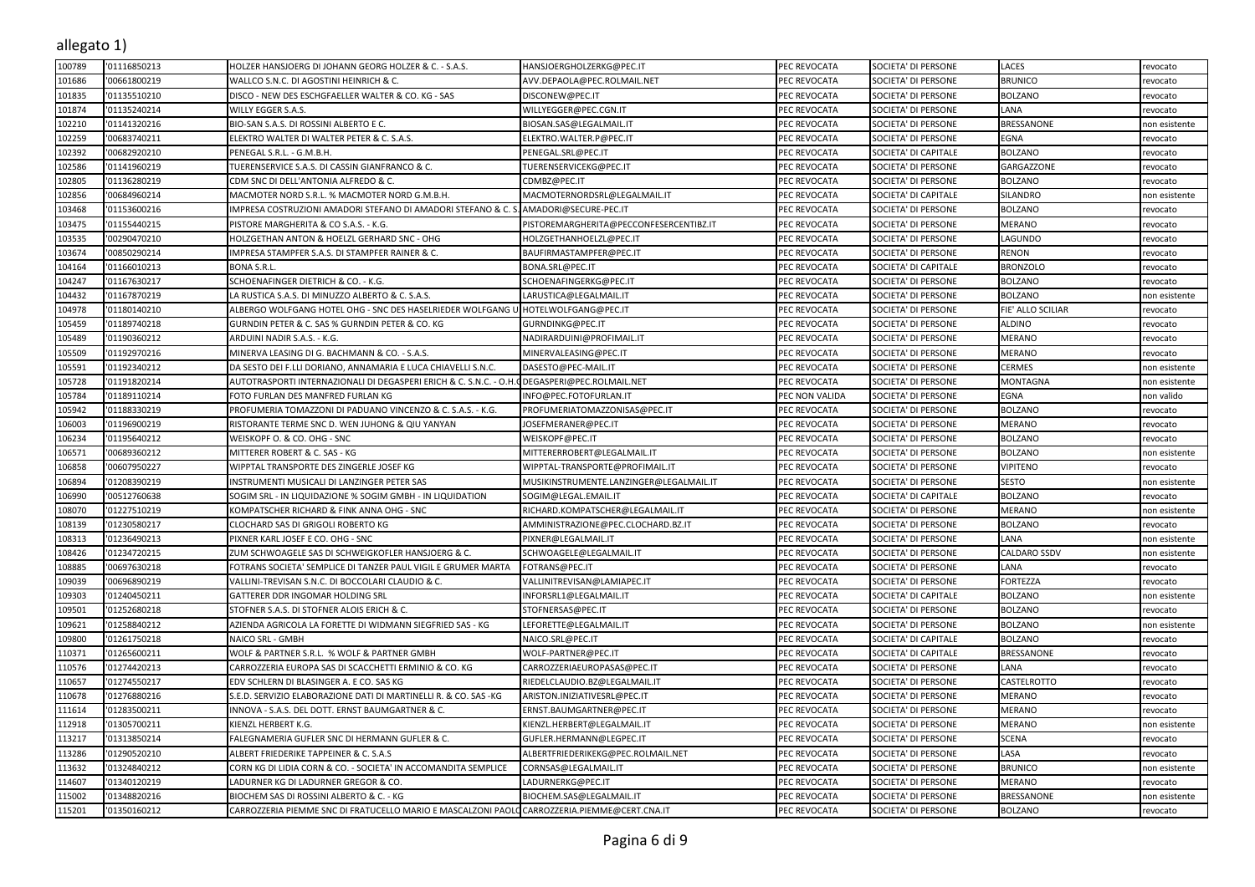| 100789 | '01116850213 | HOLZER HANSJOERG DI JOHANN GEORG HOLZER & C. - S.A.S.                                          | HANSJOERGHOLZERKG@PEC.IT                | PEC REVOCATA   | SOCIETA' DI PERSONE  | LACES             | revocato                  |
|--------|--------------|------------------------------------------------------------------------------------------------|-----------------------------------------|----------------|----------------------|-------------------|---------------------------|
| 101686 | '00661800219 | WALLCO S.N.C. DI AGOSTINI HEINRICH & C.                                                        | AVV.DEPAOLA@PEC.ROLMAIL.NET             | PEC REVOCATA   | SOCIETA' DI PERSONE  | <b>BRUNICO</b>    | revocato                  |
| 101835 | '01135510210 | DISCO - NEW DES ESCHGFAELLER WALTER & CO. KG - SAS                                             | DISCONEW@PEC.IT                         | PEC REVOCATA   | SOCIETA' DI PERSONE  | <b>BOLZANO</b>    | revocato                  |
| 101874 | '01135240214 | WILLY EGGER S.A.S                                                                              | WILLYEGGER@PEC.CGN.IT                   | PEC REVOCATA   | SOCIETA' DI PERSONE  | LANA              | revocato                  |
| 102210 | '01141320216 | BIO-SAN S.A.S. DI ROSSINI ALBERTO E C.                                                         | BIOSAN.SAS@LEGALMAIL.IT                 | PEC REVOCATA   | SOCIETA' DI PERSONE  | BRESSANONE        | non esistente             |
| 02259  | 00683740211  | ELEKTRO WALTER DI WALTER PETER & C. S.A.S.                                                     | ELEKTRO.WALTER.P@PEC.IT                 | PEC REVOCATA   | SOCIETA' DI PERSONE  | EGNA              | revocato                  |
| 102392 | 00682920210  | PENEGAL S.R.L. - G.M.B.H.                                                                      | PENEGAL.SRL@PEC.IT                      | PEC REVOCATA   | SOCIETA' DI CAPITALE | <b>BOLZANO</b>    | revocato                  |
| 02586  | 01141960219  | TUERENSERVICE S.A.S. DI CASSIN GIANFRANCO & C.                                                 | TUERENSERVICEKG@PEC.IT                  | PEC REVOCATA   | SOCIETA' DI PERSONE  | GARGAZZONE        | revocato                  |
| 102805 | '01136280219 | CDM SNC DI DELL'ANTONIA ALFREDO & C.                                                           | CDMBZ@PEC.IT                            | PEC REVOCATA   | SOCIETA' DI PERSONE  | <b>BOLZANO</b>    | revocato                  |
| 102856 | '00684960214 | MACMOTER NORD S.R.L. % MACMOTER NORD G.M.B.H.                                                  | MACMOTERNORDSRL@LEGALMAIL.IT            | PEC REVOCATA   | SOCIETA' DI CAPITALE | <b>SILANDRO</b>   | non esistente             |
| 103468 | '01153600216 | IMPRESA COSTRUZIONI AMADORI STEFANO DI AMADORI STEFANO & C. S                                  | AMADORI@SECURE-PEC.IT                   | PEC REVOCATA   | SOCIETA' DI PERSONE  | BOLZANO           | revocato                  |
| 103475 | '01155440215 | PISTORE MARGHERITA & CO S.A.S. - K.G.                                                          | PISTOREMARGHERITA@PECCONFESERCENTIBZ.IT | PEC REVOCATA   | SOCIETA' DI PERSONE  | MERANO            | revocato                  |
| 103535 | 00290470210  | HOLZGETHAN ANTON & HOELZL GERHARD SNC - OHG                                                    | HOLZGETHANHOELZL@PEC.IT                 | PEC REVOCATA   | SOCIETA' DI PERSONE  | LAGUNDO           | revocato                  |
| 103674 | '00850290214 | IMPRESA STAMPFER S.A.S. DI STAMPFER RAINER & C.                                                | BAUFIRMASTAMPFER@PEC.IT                 | PEC REVOCATA   | SOCIETA' DI PERSONE  | <b>RENON</b>      | revocato                  |
| 104164 | '01166010213 | <b>BONA S.R.L</b>                                                                              | BONA.SRL@PEC.IT                         | PEC REVOCATA   | SOCIETA' DI CAPITALE | <b>BRONZOLO</b>   | revocato                  |
| 04247  | '01167630217 | SCHOENAFINGER DIETRICH & CO. - K.G.                                                            | SCHOENAFINGERKG@PEC.IT                  | PEC REVOCATA   | SOCIETA' DI PERSONE  | <b>BOLZANO</b>    | revocato                  |
| 04432  | '01167870219 | LA RUSTICA S.A.S. DI MINUZZO ALBERTO & C. S.A.S.                                               | LARUSTICA@LEGALMAIL.IT                  | PEC REVOCATA   | SOCIETA' DI PERSONE  | <b>BOLZANO</b>    | non esistente             |
| 104978 | '01180140210 | ALBERGO WOLFGANG HOTEL OHG - SNC DES HASELRIEDER WOLFGANG U                                    | HOTELWOLFGANG@PEC.IT                    | PEC REVOCATA   | SOCIETA' DI PERSONE  | FIE' ALLO SCILIAR | revocato                  |
| 105459 | '01189740218 | GURNDIN PETER & C. SAS % GURNDIN PETER & CO. KG                                                | GURNDINKG@PEC.IT                        | PEC REVOCATA   | SOCIETA' DI PERSONE  | ALDINO            | revocato                  |
| 105489 | '01190360212 | ARDUINI NADIR S.A.S. - K.G.                                                                    | NADIRARDUINI@PROFIMAIL.IT               | PEC REVOCATA   | SOCIETA' DI PERSONE  | <b>MERANO</b>     | revocato                  |
| 105509 | 01192970216  | MINERVA LEASING DI G. BACHMANN & CO. - S.A.S.                                                  | MINERVALEASING@PEC.IT                   | PEC REVOCATA   | SOCIETA' DI PERSONE  | MERANO            | revocato                  |
| 05591  | '01192340212 | DA SESTO DEI F.LLI DORIANO, ANNAMARIA E LUCA CHIAVELLI S.N.C.                                  | DASESTO@PEC-MAIL.IT                     | PEC REVOCATA   | SOCIETA' DI PERSONE  | CERMES            | non esistente             |
| 105728 | '01191820214 | AUTOTRASPORTI INTERNAZIONALI DI DEGASPERI ERICH & C. S.N.C. - O.H. ( DEGASPERI@PEC.ROLMAIL.NET |                                         | PEC REVOCATA   | SOCIETA' DI PERSONE  | MONTAGNA          | non esistente             |
| 105784 | 01189110214  | FOTO FURLAN DES MANFRED FURLAN KG                                                              | INFO@PEC.FOTOFURLAN.IT                  | PEC NON VALIDA | SOCIETA' DI PERSONE  | EGNA              | non valido                |
| 105942 | '01188330219 | PROFUMERIA TOMAZZONI DI PADUANO VINCENZO & C. S.A.S. - K.G.                                    | PROFUMERIATOMAZZONISAS@PEC.IT           | PEC REVOCATA   | SOCIETA' DI PERSONE  | BOLZANO           | revocato                  |
| 106003 | '01196900219 | RISTORANTE TERME SNC D. WEN JUHONG & QIU YANYAN                                                | JOSEFMERANER@PEC.IT                     | PEC REVOCATA   | SOCIETA' DI PERSONE  | MERANO            | revocato                  |
| 106234 | '01195640212 | WEISKOPF O. & CO. OHG - SNC                                                                    | WEISKOPF@PEC.IT                         | PEC REVOCATA   | SOCIETA' DI PERSONE  | <b>BOLZANO</b>    |                           |
| 106571 | 00689360212  | MITTERER ROBERT & C. SAS - KG                                                                  | MITTERERROBERT@LEGALMAIL.IT             | PEC REVOCATA   | SOCIETA' DI PERSONE  | <b>BOLZANO</b>    | revocato<br>non esistente |
| 06858  | 00607950227  | WIPPTAL TRANSPORTE DES ZINGERLE JOSEF KG                                                       | WIPPTAL-TRANSPORTE@PROFIMAIL.IT         | PEC REVOCATA   | SOCIETA' DI PERSONE  | VIPITENO          |                           |
|        |              |                                                                                                |                                         |                |                      |                   | revocato                  |
| 106894 | '01208390219 | INSTRUMENTI MUSICALI DI LANZINGER PETER SAS                                                    | MUSIKINSTRUMENTE.LANZINGER@LEGALMAIL.IT | PEC REVOCATA   | SOCIETA' DI PERSONE  | <b>SESTO</b>      | non esistente             |
| 106990 | '00512760638 | SOGIM SRL - IN LIQUIDAZIONE % SOGIM GMBH - IN LIQUIDATION                                      | SOGIM@LEGAL.EMAIL.IT                    | PEC REVOCATA   | SOCIETA' DI CAPITALE | <b>BOLZANO</b>    | revocato                  |
| 108070 | '01227510219 | KOMPATSCHER RICHARD & FINK ANNA OHG - SNC                                                      | RICHARD.KOMPATSCHER@LEGALMAIL.IT        | PEC REVOCATA   | SOCIETA' DI PERSONE  | MERANO            | non esistente             |
| 108139 | '01230580217 | CLOCHARD SAS DI GRIGOLI ROBERTO KG                                                             | AMMINISTRAZIONE@PEC.CLOCHARD.BZ.IT      | PEC REVOCATA   | SOCIETA' DI PERSONE  | <b>BOLZANO</b>    | revocato                  |
| 108313 | 01236490213  | PIXNER KARL JOSEF E CO. OHG - SNC                                                              | PIXNER@LEGALMAIL.IT                     | PEC REVOCATA   | SOCIETA' DI PERSONE  | LANA              | non esistente             |
| 108426 | '01234720215 | ZUM SCHWOAGELE SAS DI SCHWEIGKOFLER HANSJOERG & C.                                             | SCHWOAGELE@LEGALMAIL.IT                 | PEC REVOCATA   | SOCIETA' DI PERSONE  | CALDARO SSDV      | non esistente             |
| 108885 | '00697630218 | FOTRANS SOCIETA' SEMPLICE DI TANZER PAUL VIGIL E GRUMER MARTA                                  | FOTRANS@PEC.IT                          | PEC REVOCATA   | SOCIETA' DI PERSONE  | LANA              | revocato                  |
| 109039 | '00696890219 | VALLINI-TREVISAN S.N.C. DI BOCCOLARI CLAUDIO & C.                                              | VALLINITREVISAN@LAMIAPEC.IT             | PEC REVOCATA   | SOCIETA' DI PERSONE  | FORTEZZA          | revocato                  |
| 109303 | '01240450211 | GATTERER DDR INGOMAR HOLDING SRL                                                               | INFORSRL1@LEGALMAIL.IT                  | PEC REVOCATA   | SOCIETA' DI CAPITALE | BOLZANO           | non esistente             |
| 109501 | '01252680218 | STOFNER S.A.S. DI STOFNER ALOIS ERICH & C.                                                     | STOFNERSAS@PEC.IT                       | PEC REVOCATA   | SOCIETA' DI PERSONE  | <b>BOLZANO</b>    | revocato                  |
| 109621 | '01258840212 | AZIENDA AGRICOLA LA FORETTE DI WIDMANN SIEGFRIED SAS - KG                                      | LEFORETTE@LEGALMAIL.IT                  | PEC REVOCATA   | SOCIETA' DI PERSONE  | <b>BOLZANO</b>    | non esistente             |
| 109800 | '01261750218 | NAICO SRL - GMBH                                                                               | NAICO.SRL@PEC.IT                        | PEC REVOCATA   | SOCIETA' DI CAPITALE | <b>BOLZANO</b>    | revocato                  |
| 10371  | '01265600211 | WOLF & PARTNER S.R.L. % WOLF & PARTNER GMBH                                                    | WOLF-PARTNER@PEC.IT                     | PEC REVOCATA   | SOCIETA' DI CAPITALE | BRESSANONE        | revocato                  |
| 10576  | '01274420213 | CARROZZERIA EUROPA SAS DI SCACCHETTI ERMINIO & CO. KG                                          | CARROZZERIAEUROPASAS@PEC.IT             | PEC REVOCATA   | SOCIETA' DI PERSONE  | LANA              | revocato                  |
| 10657  | '01274550217 | EDV SCHLERN DI BLASINGER A. E CO. SAS KG                                                       | RIEDELCLAUDIO.BZ@LEGALMAIL.IT           | PEC REVOCATA   | SOCIETA' DI PERSONE  | CASTELROTTO       | revocato                  |
| 10678  | '01276880216 | S.E.D. SERVIZIO ELABORAZIONE DATI DI MARTINELLI R. & CO. SAS -KG                               | ARISTON.INIZIATIVESRL@PEC.IT            | PEC REVOCATA   | SOCIETA' DI PERSONE  | MERANO            | revocato                  |
| 111614 | '01283500211 | INNOVA - S.A.S. DEL DOTT. ERNST BAUMGARTNER & C.                                               | ERNST.BAUMGARTNER@PEC.IT                | PEC REVOCATA   | SOCIETA' DI PERSONE  | MERANO            | revocato                  |
| 112918 | '01305700211 | KIENZL HERBERT K.G.                                                                            | KIENZL.HERBERT@LEGALMAIL.IT             | PEC REVOCATA   | SOCIETA' DI PERSONE  | <b>MERANO</b>     | non esistente             |
| 13217  | '01313850214 | FALEGNAMERIA GUFLER SNC DI HERMANN GUFLER & C.                                                 | GUFLER.HERMANN@LEGPEC.IT                | PEC REVOCATA   | SOCIETA' DI PERSONE  | <b>SCENA</b>      | revocato                  |
| 13286  | '01290520210 | ALBERT FRIEDERIKE TAPPEINER & C. S.A.S                                                         | ALBERTFRIEDERIKEKG@PEC.ROLMAIL.NET      | PEC REVOCATA   | SOCIETA' DI PERSONE  | LASA              | revocato                  |
| 13632  | 01324840212  | CORN KG DI LIDIA CORN & CO. - SOCIETA' IN ACCOMANDITA SEMPLICE                                 | CORNSAS@LEGALMAIL.IT                    | PEC REVOCATA   | SOCIETA' DI PERSONE  | <b>BRUNICO</b>    | non esistente             |
| 114607 | '01340120219 | LADURNER KG DI LADURNER GREGOR & CO.                                                           | LADURNERKG@PEC.IT                       | PEC REVOCATA   | SOCIETA' DI PERSONE  | MERANO            | revocato                  |
| 115002 | '01348820216 | BIOCHEM SAS DI ROSSINI ALBERTO & C. - KG                                                       | BIOCHEM.SAS@LEGALMAIL.IT                | PEC REVOCATA   | SOCIETA' DI PERSONE  | BRESSANONE        | non esistente             |
| 115201 | '01350160212 | CARROZZERIA PIEMME SNC DI FRATUCELLO MARIO E MASCALZONI PAOLO CARROZZERIA.PIEMME@CERT.CNA.IT   |                                         | PEC REVOCATA   | SOCIETA' DI PERSONE  | <b>BOLZANO</b>    | revocato                  |
|        |              |                                                                                                |                                         |                |                      |                   |                           |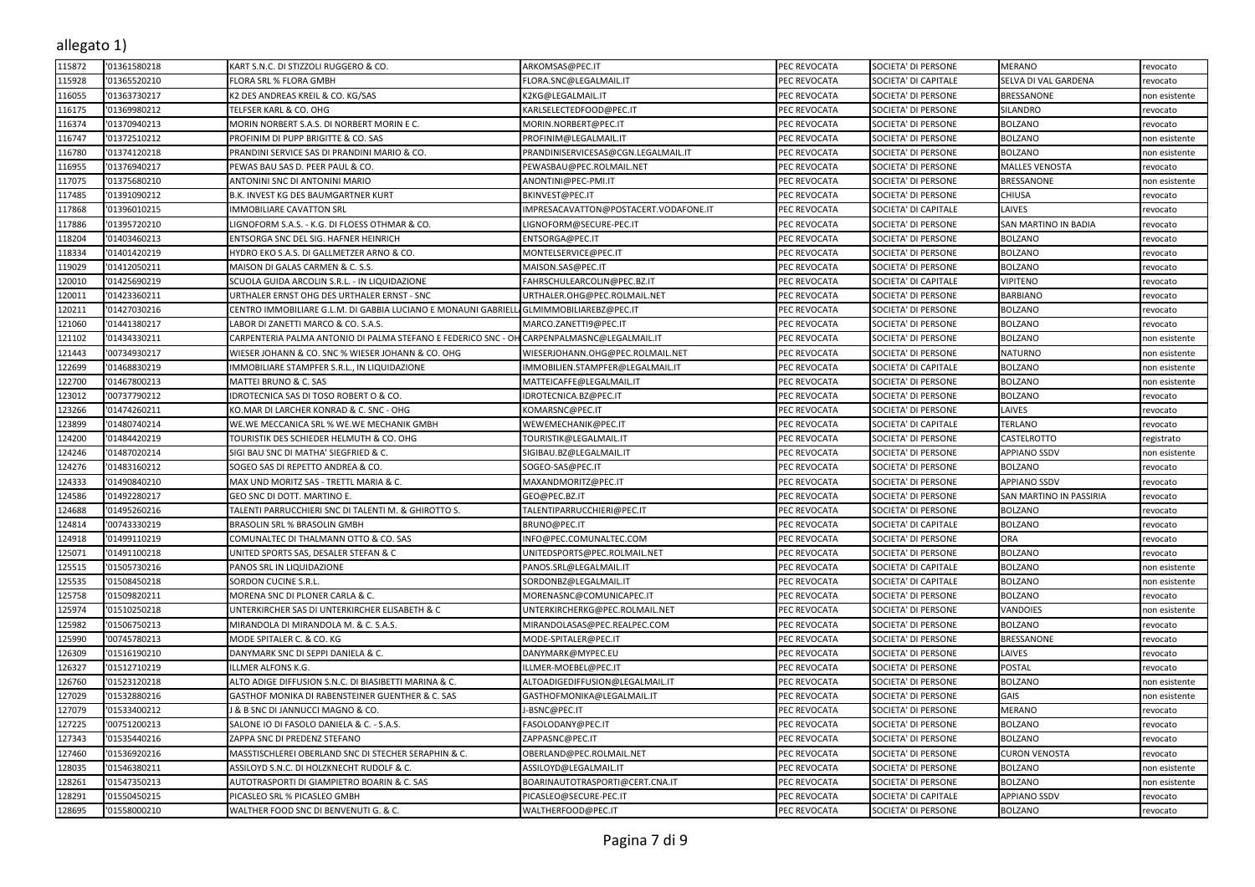| 115872 | '01361580218 | KART S.N.C. DI STIZZOLI RUGGERO & CO.                                                      | ARKOMSAS@PEC.IT                       | PEC REVOCATA | SOCIETA' DI PERSONE  | <b>MERANO</b>           | revocato      |
|--------|--------------|--------------------------------------------------------------------------------------------|---------------------------------------|--------------|----------------------|-------------------------|---------------|
| 115928 | '01365520210 | FLORA SRL % FLORA GMBH                                                                     | FLORA.SNC@LEGALMAIL.IT                | PEC REVOCATA | SOCIETA' DI CAPITALE | SELVA DI VAL GARDENA    | revocato      |
| 116055 | '01363730217 | K2 DES ANDREAS KREIL & CO. KG/SAS                                                          | K2KG@LEGALMAIL.IT                     | PEC REVOCATA | SOCIETA' DI PERSONE  | BRESSANONE              | non esistente |
| 116175 | '01369980212 | TELFSER KARL & CO. OHG                                                                     | KARLSELECTEDFOOD@PEC.IT               | PEC REVOCATA | SOCIETA' DI PERSONE  | SILANDRO                | revocato      |
| 116374 | '01370940213 | MORIN NORBERT S.A.S. DI NORBERT MORIN E C.                                                 | MORIN.NORBERT@PEC.IT                  | PEC REVOCATA | SOCIETA' DI PERSONE  | <b>BOLZANO</b>          | revocato      |
| 116747 | '01372510212 | PROFINIM DI PUPP BRIGITTE & CO. SAS                                                        | PROFINIM@LEGALMAIL.IT                 | PEC REVOCATA | SOCIETA' DI PERSONE  | <b>BOLZANO</b>          | non esistente |
| 116780 | '01374120218 | PRANDINI SERVICE SAS DI PRANDINI MARIO & CO.                                               | PRANDINISERVICESAS@CGN.LEGALMAIL.IT   | PEC REVOCATA | SOCIETA' DI PERSONE  | <b>BOLZANO</b>          | non esistente |
| 116955 | '01376940217 | PEWAS BAU SAS D. PEER PAUL & CO.                                                           | PEWASBAU@PEC.ROLMAIL.NET              | PEC REVOCATA | SOCIETA' DI PERSONE  | <b>MALLES VENOSTA</b>   | revocato      |
| 117075 | '01375680210 | ANTONINI SNC DI ANTONINI MARIO                                                             | ANONTINI@PEC-PMI.IT                   | PEC REVOCATA | SOCIETA' DI PERSONE  | BRESSANONE              | non esistente |
| 117485 | '01391090212 | B.K. INVEST KG DES BAUMGARTNER KURT                                                        | BKINVEST@PEC.IT                       | PEC REVOCATA | SOCIETA' DI PERSONE  | <b>CHIUSA</b>           | revocato      |
| 117868 | '01396010215 | <b>IMMOBILIARE CAVATTON SRL</b>                                                            | IMPRESACAVATTON@POSTACERT.VODAFONE.IT | PEC REVOCATA | SOCIETA' DI CAPITALE | LAIVES                  | revocato      |
| 117886 | '01395720210 | LIGNOFORM S.A.S. - K.G. DI FLOESS OTHMAR & CO.                                             | LIGNOFORM@SECURE-PEC.IT               | PEC REVOCATA | SOCIETA' DI PERSONE  | SAN MARTINO IN BADIA    | revocato      |
| 118204 | '01403460213 | ENTSORGA SNC DEL SIG. HAFNER HEINRICH                                                      | ENTSORGA@PEC.IT                       | PEC REVOCATA | SOCIETA' DI PERSONE  | <b>BOLZANO</b>          | revocato      |
| 118334 | '01401420219 | HYDRO EKO S.A.S. DI GALLMETZER ARNO & CO.                                                  | MONTELSERVICE@PEC.IT                  | PEC REVOCATA | SOCIETA' DI PERSONE  | <b>BOLZANO</b>          | revocato      |
| 119029 | '01412050211 | MAISON DI GALAS CARMEN & C. S.S                                                            | MAISON.SAS@PEC.IT                     | PEC REVOCATA | SOCIETA' DI PERSONE  | <b>BOLZANO</b>          | revocato      |
| 120010 | '01425690219 | SCUOLA GUIDA ARCOLIN S.R.L. - IN LIQUIDAZIONE                                              | FAHRSCHULEARCOLIN@PEC.BZ.IT           | PEC REVOCATA | SOCIETA' DI CAPITALE | <b>VIPITENO</b>         | revocato      |
| 120011 | '01423360211 | URTHALER ERNST OHG DES URTHALER ERNST - SNC                                                | URTHALER.OHG@PEC.ROLMAIL.NET          | PEC REVOCATA | SOCIETA' DI PERSONE  | <b>BARBIANO</b>         | revocato      |
| 120211 | '01427030216 | CENTRO IMMOBILIARE G.L.M. DI GABBIA LUCIANO E MONAUNI GABRIELL GLMIMMOBILIAREBZ@PEC.IT     |                                       | PEC REVOCATA | SOCIETA' DI PERSONE  | <b>BOLZANO</b>          | revocato      |
| 121060 | '01441380217 | LABOR DI ZANETTI MARCO & CO. S.A.S                                                         | MARCO.ZANETTI9@PEC.IT                 | PEC REVOCATA | SOCIETA' DI PERSONE  | <b>BOLZANO</b>          | revocato      |
| 121102 | '01434330211 | CARPENTERIA PALMA ANTONIO DI PALMA STEFANO E FEDERICO SNC - OH CARPENPALMASNC@LEGALMAIL.IT |                                       | PEC REVOCATA | SOCIETA' DI PERSONE  | <b>BOLZANO</b>          | non esistente |
| 121443 | '00734930217 | WIESER JOHANN & CO. SNC % WIESER JOHANN & CO. OHG                                          | WIESERJOHANN.OHG@PEC.ROLMAIL.NET      | PEC REVOCATA | SOCIETA' DI PERSONE  | NATURNO                 | non esistente |
| 122699 | '01468830219 | IMMOBILIARE STAMPFER S.R.L., IN LIQUIDAZIONE                                               | IMMOBILIEN.STAMPFER@LEGALMAIL.IT      | PEC REVOCATA | SOCIETA' DI CAPITALE | <b>BOLZANO</b>          | non esistente |
| 122700 | '01467800213 | MATTEI BRUNO & C. SAS                                                                      | MATTEICAFFE@LEGALMAIL.IT              | PEC REVOCATA | SOCIETA' DI PERSONE  | <b>BOLZANO</b>          | non esistente |
| 123012 | '00737790212 | IDROTECNICA SAS DI TOSO ROBERT O & CO.                                                     | IDROTECNICA.BZ@PEC.IT                 | PEC REVOCATA | SOCIETA' DI PERSONE  | <b>BOLZANO</b>          | revocato      |
| 123266 | '01474260211 | KO.MAR DI LARCHER KONRAD & C. SNC - OHG                                                    | KOMARSNC@PEC.IT                       | PEC REVOCATA | SOCIETA' DI PERSONE  | LAIVES                  | revocato      |
| 123899 | '01480740214 | WE. WE MECCANICA SRL % WE. WE MECHANIK GMBH                                                | WEWEMECHANIK@PEC.IT                   | PEC REVOCATA | SOCIETA' DI CAPITALE | <b>TERLANO</b>          | revocato      |
| 124200 | '01484420219 | TOURISTIK DES SCHIEDER HELMUTH & CO. OHG                                                   | TOURISTIK@LEGALMAIL.IT                | PEC REVOCATA | SOCIETA' DI PERSONE  | CASTELROTTO             | registrato    |
| 124246 | '01487020214 | SIGI BAU SNC DI MATHA' SIEGFRIED & C.                                                      | SIGIBAU.BZ@LEGALMAIL.IT               | PEC REVOCATA | SOCIETA' DI PERSONE  | APPIANO SSDV            | non esistente |
| 124276 | '01483160212 | SOGEO SAS DI REPETTO ANDREA & CO.                                                          | SOGEO-SAS@PEC.IT                      | PEC REVOCATA | SOCIETA' DI PERSONE  | <b>BOLZANO</b>          | revocato      |
| 124333 | '01490840210 | MAX UND MORITZ SAS - TRETTL MARIA & C.                                                     | MAXANDMORITZ@PEC.IT                   | PEC REVOCATA | SOCIETA' DI PERSONE  | <b>APPIANO SSDV</b>     | revocato      |
| 124586 | '01492280217 | GEO SNC DI DOTT. MARTINO E.                                                                | GEO@PEC.BZ.IT                         | PEC REVOCATA | SOCIETA' DI PERSONE  | SAN MARTINO IN PASSIRIA | revocato      |
| 124688 | '01495260216 | TALENTI PARRUCCHIERI SNC DI TALENTI M. & GHIROTTO S.                                       | TALENTIPARRUCCHIERI@PEC.IT            | PEC REVOCATA | SOCIETA' DI PERSONE  | <b>BOLZANO</b>          | revocato      |
| 124814 | '00743330219 | BRASOLIN SRL % BRASOLIN GMBH                                                               | <b>BRUNO@PEC.IT</b>                   | PEC REVOCATA | SOCIETA' DI CAPITALE | <b>BOLZANO</b>          | revocato      |
| 124918 | '01499110219 | COMUNALTEC DI THALMANN OTTO & CO. SAS                                                      | INFO@PEC.COMUNALTEC.COM               | PEC REVOCATA | SOCIETA' DI PERSONE  | ORA                     | revocato      |
| 125071 | '01491100218 | UNITED SPORTS SAS, DESALER STEFAN & C                                                      | UNITEDSPORTS@PEC.ROLMAIL.NET          | PEC REVOCATA | SOCIETA' DI PERSONE  | <b>BOLZANO</b>          | revocato      |
| 125515 | '01505730216 | PANOS SRL IN LIQUIDAZIONE                                                                  | PANOS.SRL@LEGALMAIL.IT                | PEC REVOCATA | SOCIETA' DI CAPITALE | <b>BOLZANO</b>          | non esistente |
| 125535 | '01508450218 | <b>SORDON CUCINE S.R.L</b>                                                                 | SORDONBZ@LEGALMAIL.IT                 | PEC REVOCATA | SOCIETA' DI CAPITALE | <b>BOLZANO</b>          | non esistente |
| 125758 | '01509820211 | MORENA SNC DI PLONER CARLA & C.                                                            | MORENASNC@COMUNICAPEC.IT              | PEC REVOCATA | SOCIETA' DI PERSONE  | <b>BOLZANO</b>          | revocato      |
| 125974 | '01510250218 | UNTERKIRCHER SAS DI UNTERKIRCHER ELISABETH & C                                             | UNTERKIRCHERKG@PEC.ROLMAIL.NET        | PEC REVOCATA | SOCIETA' DI PERSONE  | VANDOIES                | non esistente |
| 125982 | '01506750213 | MIRANDOLA DI MIRANDOLA M. & C. S.A.S                                                       | MIRANDOLASAS@PEC.REALPEC.COM          | PEC REVOCATA | SOCIETA' DI PERSONE  | <b>BOLZANO</b>          | revocato      |
| 125990 | '00745780213 | MODE SPITALER C. & CO. KG                                                                  | MODE-SPITALER@PEC.IT                  | PEC REVOCATA | SOCIETA' DI PERSONE  | BRESSANONE              | revocato      |
| 126309 | '01516190210 | DANYMARK SNC DI SEPPI DANIELA & C.                                                         | DANYMARK@MYPEC.EU                     | PEC REVOCATA | SOCIETA' DI PERSONE  | LAIVES                  | revocato      |
| 126327 | '01512710219 | LLMER ALFONS K.G.                                                                          | LLMER-MOEBEL@PEC.IT                   | PEC REVOCATA | SOCIETA' DI PERSONE  | <b>POSTAL</b>           | revocato      |
| 126760 | '01523120218 | ALTO ADIGE DIFFUSION S.N.C. DI BIASIBETTI MARINA & C.                                      | ALTOADIGEDIFFUSION@LEGALMAIL.IT       | PEC REVOCATA | SOCIETA' DI PERSONE  | <b>BOLZANO</b>          | non esistente |
| 127029 | '01532880216 | GASTHOF MONIKA DI RABENSTEINER GUENTHER & C. SAS                                           | GASTHOFMONIKA@LEGALMAIL.IT            | PEC REVOCATA | SOCIETA' DI PERSONE  | GAIS                    | non esistente |
| 127079 | '01533400212 | J & B SNC DI JANNUCCI MAGNO & CO                                                           | J-BSNC@PEC.IT                         | PEC REVOCATA | SOCIETA' DI PERSONE  | <b>MERANO</b>           | revocato      |
| 127225 | '00751200213 | SALONE IO DI FASOLO DANIELA & C. - S.A.S.                                                  | FASOLODANY@PEC.IT                     | PEC REVOCATA | SOCIETA' DI PERSONE  | <b>BOLZANO</b>          | revocato      |
| 127343 | '01535440216 | ZAPPA SNC DI PREDENZ STEFANO                                                               | ZAPPASNC@PEC.IT                       | PEC REVOCATA | SOCIETA' DI PERSONE  | <b>BOLZANO</b>          | revocato      |
| 127460 | '01536920216 | MASSTISCHLEREI OBERLAND SNC DI STECHER SERAPHIN & C.                                       | OBERLAND@PEC.ROLMAIL.NET              | PEC REVOCATA | SOCIETA' DI PERSONE  | <b>CURON VENOSTA</b>    | revocato      |
| 128035 | '01546380211 | ASSILOYD S.N.C. DI HOLZKNECHT RUDOLF & C.                                                  | ASSILOYD@LEGALMAIL.IT                 | PEC REVOCATA | SOCIETA' DI PERSONE  | <b>BOLZANO</b>          | non esistente |
| 128261 | '01547350213 | AUTOTRASPORTI DI GIAMPIETRO BOARIN & C. SAS                                                | BOARINAUTOTRASPORTI@CERT.CNA.IT       | PEC REVOCATA | SOCIETA' DI PERSONE  | <b>BOLZANO</b>          | non esistente |
| 128291 | '01550450215 | PICASLEO SRL % PICASLEO GMBH                                                               | PICASLEO@SECURE-PEC.IT                | PEC REVOCATA | SOCIETA' DI CAPITALE | <b>APPIANO SSDV</b>     |               |
| 128695 | '01558000210 |                                                                                            |                                       |              |                      | <b>BOLZANO</b>          | revocato      |
|        |              | WALTHER FOOD SNC DI BENVENUTI G. & C.                                                      | WALTHERFOOD@PEC.IT                    | PEC REVOCATA | SOCIETA' DI PERSONE  |                         | revocato      |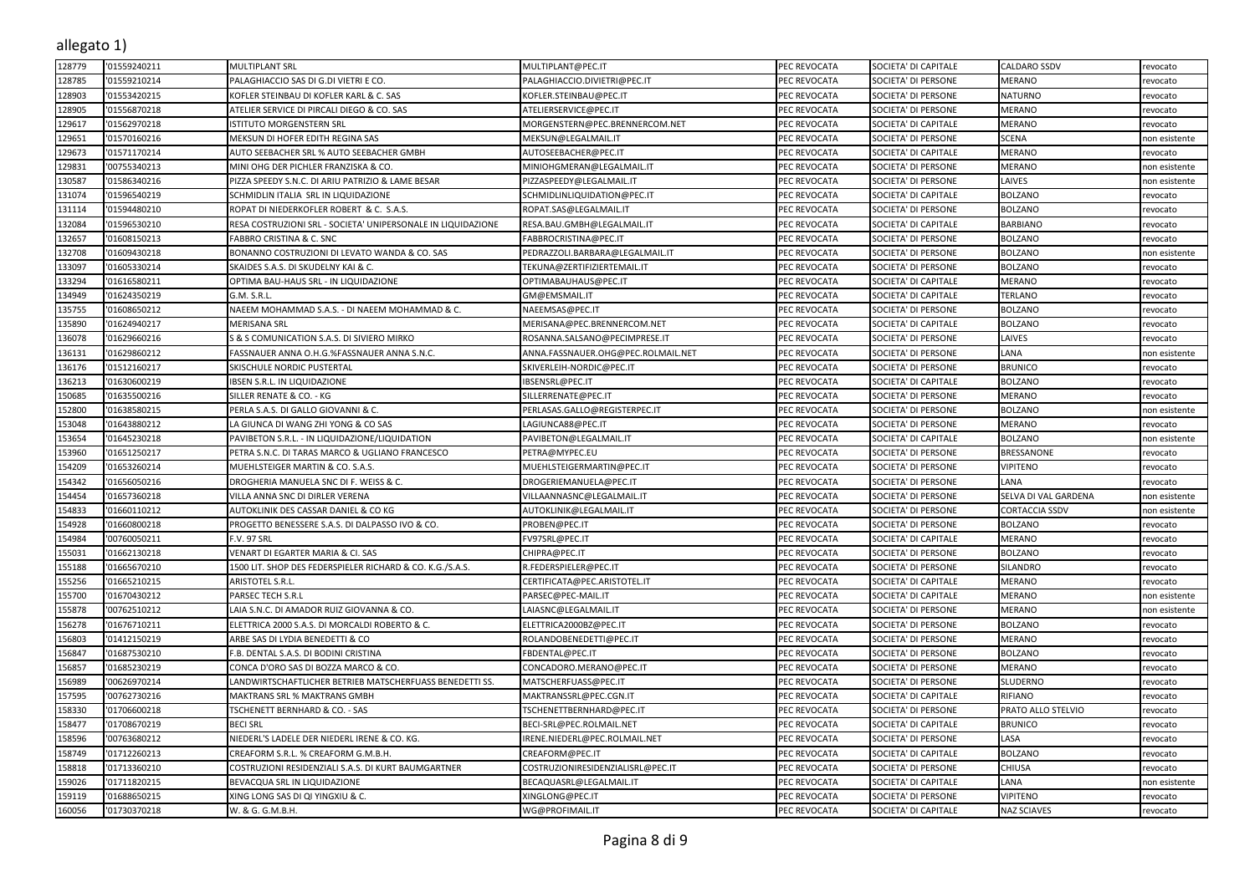allegato 1)

| 128779 | '01559240211 | <b>MULTIPLANT SRL</b>                                        | MULTIPLANT@PEC.IT                  | PEC REVOCATA | SOCIETA' DI CAPITALE | CALDARO SSDV         | evocato                        |
|--------|--------------|--------------------------------------------------------------|------------------------------------|--------------|----------------------|----------------------|--------------------------------|
| 128785 | '01559210214 | PALAGHIACCIO SAS DI G.DI VIETRI E CO.                        | PALAGHIACCIO.DIVIETRI@PEC.IT       | PEC REVOCATA | SOCIETA' DI PERSONE  | <b>MERANO</b>        | evocato                        |
| 128903 | '01553420215 | KOFLER STEINBAU DI KOFLER KARL & C. SAS                      | KOFLER.STEINBAU@PEC.IT             | PEC REVOCATA | SOCIETA' DI PERSONE  | <b>NATURNO</b>       | evocato                        |
| 128905 | '01556870218 | ATELIER SERVICE DI PIRCALI DIEGO & CO. SAS                   | ATELIERSERVICE@PEC.IT              | PEC REVOCATA | SOCIETA' DI PERSONE  | <b>MERANO</b>        | revocato                       |
| 129617 | '01562970218 | ISTITUTO MORGENSTERN SRL                                     | MORGENSTERN@PEC.BRENNERCOM.NET     | PEC REVOCATA | SOCIETA' DI CAPITALE | <b>MERANO</b>        | revocato                       |
| 129651 | '01570160216 | MEKSUN DI HOFER EDITH REGINA SAS                             | MEKSUN@LEGALMAIL.IT                | PEC REVOCATA | SOCIETA' DI PERSONE  | SCENA                | non esistente                  |
| 129673 | '01571170214 | AUTO SEEBACHER SRL % AUTO SEEBACHER GMBH                     | AUTOSEEBACHER@PEC.IT               | PEC REVOCATA | SOCIETA' DI CAPITALE | <b>MERANO</b>        | revocato                       |
| 129831 | '00755340213 | MINI OHG DER PICHLER FRANZISKA & CO.                         | MINIOHGMERAN@LEGALMAIL.IT          | PEC REVOCATA | SOCIETA' DI PERSONE  | <b>MERANO</b>        | on esistente                   |
| 130587 | '01586340216 | PIZZA SPEEDY S.N.C. DI ARIU PATRIZIO & LAME BESAR            | PIZZASPEEDY@LEGALMAIL.IT           | PEC REVOCATA | SOCIETA' DI PERSONE  | LAIVES               | non esistente                  |
| 131074 | '01596540219 | SCHMIDLIN ITALIA SRL IN LIQUIDAZIONE                         | SCHMIDLINLIQUIDATION@PEC.IT        | PEC REVOCATA | SOCIETA' DI CAPITALE | <b>BOLZANO</b>       | revocato                       |
| 131114 | 01594480210  | ROPAT DI NIEDERKOFLER ROBERT & C. S.A.S.                     | ROPAT.SAS@LEGALMAIL.IT             | PEC REVOCATA | SOCIETA' DI PERSONE  | <b>BOLZANO</b>       | evocato                        |
| 132084 | '01596530210 | RESA COSTRUZIONI SRL - SOCIETA' UNIPERSONALE IN LIQUIDAZIONE | RESA.BAU.GMBH@LEGALMAIL.IT         | PEC REVOCATA | SOCIETA' DI CAPITALE | <b>BARBIANO</b>      | revocato                       |
| 132657 | '01608150213 | FABBRO CRISTINA & C. SNC                                     | FABBROCRISTINA@PEC.IT              | PEC REVOCATA | SOCIETA' DI PERSONE  | <b>BOLZANO</b>       | evocato                        |
| 132708 | '01609430218 | BONANNO COSTRUZIONI DI LEVATO WANDA & CO. SAS                | PEDRAZZOLI.BARBARA@LEGALMAIL.IT    | PEC REVOCATA | SOCIETA' DI PERSONE  | <b>BOLZANO</b>       | on esistente                   |
| 133097 | '01605330214 | SKAIDES S.A.S. DI SKUDELNY KAI & C.                          | TEKUNA@ZERTIFIZIERTEMAIL.IT        | PEC REVOCATA | SOCIETA' DI PERSONE  | <b>BOLZANO</b>       | evocato                        |
| 133294 | '01616580211 | OPTIMA BAU-HAUS SRL - IN LIQUIDAZIONE                        | OPTIMABAUHAUS@PEC.IT               | PEC REVOCATA | SOCIETA' DI CAPITALE | <b>MERANO</b>        | evocato                        |
| 134949 | '01624350219 | G.M. S.R.L.                                                  | GM@EMSMAIL.IT                      | PEC REVOCATA | SOCIETA' DI CAPITALE | TERLANO              | evocato                        |
| 135755 | '01608650212 | NAEEM MOHAMMAD S.A.S. - DI NAEEM MOHAMMAD & C.               | NAEEMSAS@PEC.IT                    | PEC REVOCATA | SOCIETA' DI PERSONE  | <b>BOLZANO</b>       | evocato                        |
| 135890 | '01624940217 | <b>MERISANA SRL</b>                                          | MERISANA@PEC.BRENNERCOM.NET        | PEC REVOCATA | SOCIETA' DI CAPITALE | <b>BOLZANO</b>       | evocato                        |
| 136078 | '01629660216 | S & S COMUNICATION S.A.S. DI SIVIERO MIRKO                   | ROSANNA.SALSANO@PECIMPRESE.IT      | PEC REVOCATA | SOCIETA' DI PERSONE  | LAIVES               | evocato                        |
| 136131 | '01629860212 | FASSNAUER ANNA O.H.G.%FASSNAUER ANNA S.N.C.                  | ANNA.FASSNAUER.OHG@PEC.ROLMAIL.NET | PEC REVOCATA | SOCIETA' DI PERSONE  | LANA                 | non esistente                  |
| 136176 | '01512160217 | SKISCHULE NORDIC PUSTERTAL                                   | SKIVERLEIH-NORDIC@PEC.IT           | PEC REVOCATA | SOCIETA' DI PERSONE  | <b>BRUNICO</b>       | evocato                        |
| 136213 | '01630600219 | IBSEN S.R.L. IN LIQUIDAZIONE                                 | IBSENSRL@PEC.IT                    | PEC REVOCATA | SOCIETA' DI CAPITALE | <b>BOLZANO</b>       | evocato                        |
| 150685 | '01635500216 | SILLER RENATE & CO. - KG                                     | SILLERRENATE@PEC.IT                | PEC REVOCATA | SOCIETA' DI PERSONE  | <b>MERANO</b>        | evocato                        |
| 152800 | '01638580215 | PERLA S.A.S. DI GALLO GIOVANNI & C.                          | PERLASAS.GALLO@REGISTERPEC.IT      | PEC REVOCATA | SOCIETA' DI PERSONE  | <b>BOLZANO</b>       | าon esistente                  |
| 153048 | '01643880212 | LA GIUNCA DI WANG ZHI YONG & CO SAS                          | LAGIUNCA88@PEC.IT                  | PEC REVOCATA | SOCIETA' DI PERSONE  | <b>MERANO</b>        | revocato                       |
| 153654 | '01645230218 | PAVIBETON S.R.L. - IN LIQUIDAZIONE/LIQUIDATION               | PAVIBETON@LEGALMAIL.IT             | PEC REVOCATA | SOCIETA' DI CAPITALE | <b>BOLZANO</b>       | non esistente                  |
| 153960 | '01651250217 | PETRA S.N.C. DI TARAS MARCO & UGLIANO FRANCESCO              | PETRA@MYPEC.EU                     | PEC REVOCATA | SOCIETA' DI PERSONE  | BRESSANONE           | revocato                       |
| 154209 | '01653260214 | MUEHLSTEIGER MARTIN & CO. S.A.S.                             | MUEHLSTEIGERMARTIN@PEC.IT          | PEC REVOCATA | SOCIETA' DI PERSONE  | VIPITENO             | evocato                        |
| 154342 | '01656050216 | DROGHERIA MANUELA SNC DI F. WEISS & C.                       | DROGERIEMANUELA@PEC.IT             | PEC REVOCATA | SOCIETA' DI PERSONE  | LANA                 | evocato                        |
| 154454 | '01657360218 | VILLA ANNA SNC DI DIRLER VERENA                              | VILLAANNASNC@LEGALMAIL.IT          | PEC REVOCATA | SOCIETA' DI PERSONE  | SELVA DI VAL GARDENA |                                |
| 154833 | '01660110212 | AUTOKLINIK DES CASSAR DANIEL & CO KG                         | AUTOKLINIK@LEGALMAIL.IT            | PEC REVOCATA | SOCIETA' DI PERSONE  | CORTACCIA SSDV       | non esistente<br>non esistente |
| 154928 | '01660800218 | PROGETTO BENESSERE S.A.S. DI DALPASSO IVO & CO.              |                                    |              |                      |                      |                                |
|        |              |                                                              | PROBEN@PEC.IT                      | PEC REVOCATA | SOCIETA' DI PERSONE  | <b>BOLZANO</b>       | revocato                       |
| 154984 | '00760050211 | <b>F.V. 97 SRL</b>                                           | FV97SRL@PEC.IT                     | PEC REVOCATA | SOCIETA' DI CAPITALE | <b>MERANO</b>        | revocato                       |
| 155031 | '01662130218 | VENART DI EGARTER MARIA & CI. SAS                            | CHIPRA@PEC.IT                      | PEC REVOCATA | SOCIETA' DI PERSONE  | BOLZANO              | evocato                        |
| 155188 | '01665670210 | 1500 LIT. SHOP DES FEDERSPIELER RICHARD & CO. K.G./S.A.S.    | R.FEDERSPIELER@PEC.IT              | PEC REVOCATA | SOCIETA' DI PERSONE  | SILANDRO             | evocato                        |
| 155256 | '01665210215 | ARISTOTEL S.R.L.                                             | CERTIFICATA@PEC.ARISTOTEL.IT       | PEC REVOCATA | SOCIETA' DI CAPITALE | <b>MERANO</b>        | revocato                       |
| 155700 | '01670430212 | PARSEC TECH S.R.L                                            | PARSEC@PEC-MAIL.IT                 | PEC REVOCATA | SOCIETA' DI CAPITALE | <b>MERANO</b>        | non esistente                  |
| 155878 | '00762510212 | LAIA S.N.C. DI AMADOR RUIZ GIOVANNA & CO                     | LAIASNC@LEGALMAIL.IT               | PEC REVOCATA | SOCIETA' DI PERSONE  | <b>MERANO</b>        | non esistente                  |
| 156278 | '01676710211 | ELETTRICA 2000 S.A.S. DI MORCALDI ROBERTO & C.               | ELETTRICA2000BZ@PEC.IT             | PEC REVOCATA | SOCIETA' DI PERSONE  | <b>BOLZANO</b>       | evocato                        |
| 156803 | '01412150219 | ARBE SAS DI LYDIA BENEDETTI & CO                             | ROLANDOBENEDETTI@PEC.IT            | PEC REVOCATA | SOCIETA' DI PERSONE  | MERANO               | revocato                       |
| 156847 | '01687530210 | F.B. DENTAL S.A.S. DI BODINI CRISTINA                        | FBDENTAL@PEC.IT                    | PEC REVOCATA | SOCIETA' DI PERSONE  | <b>BOLZANO</b>       | evocato                        |
| 156857 | 01685230219  | CONCA D'ORO SAS DI BOZZA MARCO & CO                          | CONCADORO.MERANO@PEC.IT            | PEC REVOCATA | SOCIETA' DI PERSONE  | <b>MERANO</b>        | evocato                        |
| 156989 | '00626970214 | LANDWIRTSCHAFTLICHER BETRIEB MATSCHERFUASS BENEDETTI SS.     | MATSCHERFUASS@PEC.IT               | PEC REVOCATA | SOCIETA' DI PERSONE  | SLUDERNO             | revocato                       |
| 157595 | '00762730216 | MAKTRANS SRL % MAKTRANS GMBH                                 | MAKTRANSSRL@PEC.CGN.IT             | PEC REVOCATA | SOCIETA' DI CAPITALE | RIFIANO              | evocato                        |
| 158330 | '01706600218 | TSCHENETT BERNHARD & CO. - SAS                               | TSCHENETTBERNHARD@PEC.IT           | PEC REVOCATA | SOCIETA' DI PERSONE  | PRATO ALLO STELVIO   | evocato                        |
| 158477 | '01708670219 | <b>BECI SRL</b>                                              | BECI-SRL@PEC.ROLMAIL.NET           | PEC REVOCATA | SOCIETA' DI CAPITALE | <b>BRUNICO</b>       | evocato                        |
| 158596 | '00763680212 | NIEDERL'S LADELE DER NIEDERL IRENE & CO. KG.                 | IRENE.NIEDERL@PEC.ROLMAIL.NET      | PEC REVOCATA | SOCIETA' DI PERSONE  | LASA                 | evocato                        |
| 158749 | '01712260213 | CREAFORM S.R.L. % CREAFORM G.M.B.H.                          | CREAFORM@PEC.IT                    | PEC REVOCATA | SOCIETA' DI CAPITALE | <b>BOLZANO</b>       | evocato                        |
| 158818 | '01713360210 | COSTRUZIONI RESIDENZIALI S.A.S. DI KURT BAUMGARTNER          | COSTRUZIONIRESIDENZIALISRL@PEC.IT  | PEC REVOCATA | SOCIETA' DI PERSONE  | <b>CHIUSA</b>        | evocato                        |
| 159026 | '01711820215 | BEVACQUA SRL IN LIQUIDAZIONE                                 | BECAQUASRL@LEGALMAIL.IT            | PEC REVOCATA | SOCIETA' DI CAPITALE | LANA                 | on esistente                   |
| 159119 | '01688650215 | XING LONG SAS DI QI YINGXIU & C.                             | XINGLONG@PEC.IT                    | PEC REVOCATA | SOCIETA' DI PERSONE  | <b>VIPITENO</b>      | revocato                       |
| 160056 | '01730370218 | W. & G. G.M.B.H.                                             | WG@PROFIMAIL.IT                    | PEC REVOCATA | SOCIETA' DI CAPITALE | <b>NAZ SCIAVES</b>   | revocato                       |